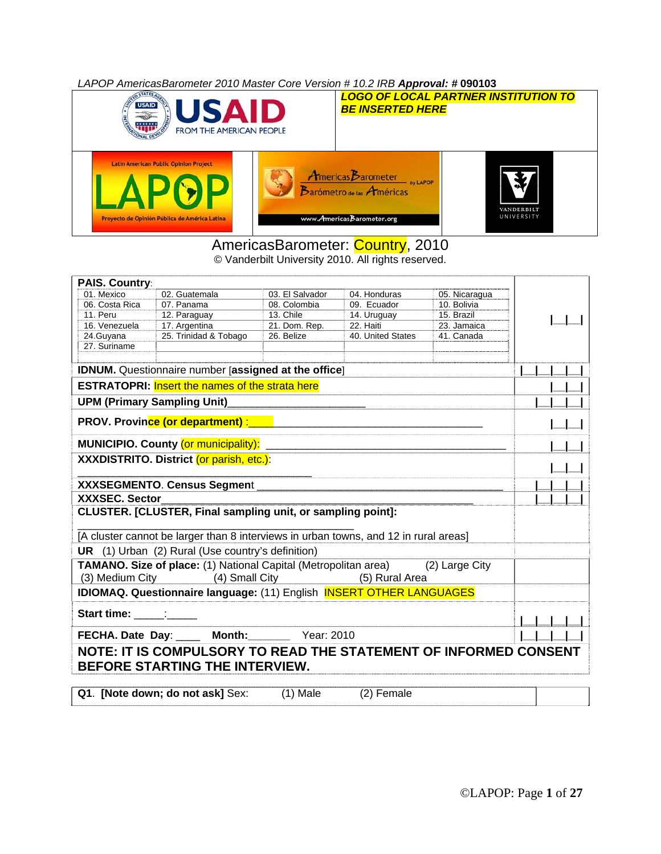*LAPOP AmericasBarometer 2010 Master Core Version # 10.2 IRB Approval: #* **090103**



### AmericasBarometer: Country, 2010

© Vanderbilt University 2010. All rights reserved.

| PAIS. Country:                                         |                                                                                                    |                 |                   |               |  |  |  |  |  |  |
|--------------------------------------------------------|----------------------------------------------------------------------------------------------------|-----------------|-------------------|---------------|--|--|--|--|--|--|
| 01. Mexico                                             | 02. Guatemala                                                                                      | 03. El Salvador | 04. Honduras      | 05. Nicaragua |  |  |  |  |  |  |
| 06. Costa Rica                                         | 07. Panama                                                                                         | 08. Colombia    | 09. Ecuador       | 10. Bolivia   |  |  |  |  |  |  |
| 11. Peru                                               | 12. Paraguay                                                                                       | 13. Chile       | 14. Uruguay       | 15. Brazil    |  |  |  |  |  |  |
| 16. Venezuela                                          | 17. Argentina                                                                                      | 21. Dom. Rep.   | 22. Haiti         | 23. Jamaica   |  |  |  |  |  |  |
| 24.Guyana                                              | 25. Trinidad & Tobago                                                                              | 26. Belize      | 40. United States | 41. Canada    |  |  |  |  |  |  |
| 27. Suriname                                           |                                                                                                    |                 |                   |               |  |  |  |  |  |  |
|                                                        | IDNUM. Questionnaire number [assigned at the office]                                               |                 |                   |               |  |  |  |  |  |  |
| <b>ESTRATOPRI:</b> Insert the names of the strata here |                                                                                                    |                 |                   |               |  |  |  |  |  |  |
|                                                        | <b>UPM (Primary Sampling Unit)</b>                                                                 |                 |                   |               |  |  |  |  |  |  |
|                                                        |                                                                                                    |                 |                   |               |  |  |  |  |  |  |
|                                                        | MUNICIPIO. County (or municipality): _________                                                     |                 |                   |               |  |  |  |  |  |  |
|                                                        | XXXDISTRITO. District (or parish, etc.):                                                           |                 |                   |               |  |  |  |  |  |  |
|                                                        |                                                                                                    |                 |                   |               |  |  |  |  |  |  |
|                                                        | XXXSEGMENTO. Census Segment                                                                        |                 |                   |               |  |  |  |  |  |  |
| <b>XXXSEC. Sector</b>                                  |                                                                                                    |                 |                   |               |  |  |  |  |  |  |
|                                                        | CLUSTER. [CLUSTER, Final sampling unit, or sampling point]:                                        |                 |                   |               |  |  |  |  |  |  |
|                                                        | [A cluster cannot be larger than 8 interviews in urban towns, and 12 in rural areas]               |                 |                   |               |  |  |  |  |  |  |
|                                                        | <b>UR</b> (1) Urban (2) Rural (Use country's definition)                                           |                 |                   |               |  |  |  |  |  |  |
|                                                        | TAMANO. Size of place: (1) National Capital (Metropolitan area) (2) Large City                     |                 |                   |               |  |  |  |  |  |  |
|                                                        | (3) Medium City (4) Small City (5) Rural Area                                                      |                 |                   |               |  |  |  |  |  |  |
|                                                        | IDIOMAQ. Questionnaire language: (11) English INSERT OTHER LANGUAGES                               |                 |                   |               |  |  |  |  |  |  |
|                                                        |                                                                                                    |                 |                   |               |  |  |  |  |  |  |
|                                                        |                                                                                                    |                 |                   |               |  |  |  |  |  |  |
|                                                        | FECHA. Date Day: ____ Month: Year: 2010                                                            |                 |                   |               |  |  |  |  |  |  |
|                                                        | NOTE: IT IS COMPULSORY TO READ THE STATEMENT OF INFORMED CONSENT<br>BEFORE STARTING THE INTERVIEW. |                 |                   |               |  |  |  |  |  |  |
|                                                        | Q1. [Note down; do not ask] Sex:                                                                   | $(1)$ Male      | (2) Female        |               |  |  |  |  |  |  |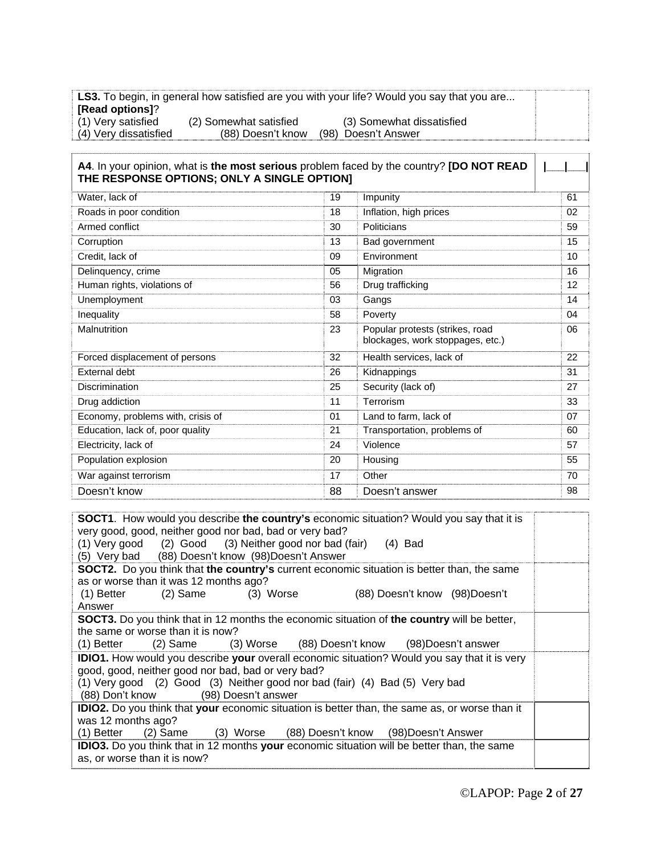|                       |                        | <b>LS3.</b> To begin, in general how satisfied are you with your life? Would you say that you are |  |
|-----------------------|------------------------|---------------------------------------------------------------------------------------------------|--|
| [Read options]?       |                        |                                                                                                   |  |
| (1) Very satisfied    | (2) Somewhat satisfied | (3) Somewhat dissatisfied                                                                         |  |
| (4) Very dissatisfied | (88) Doesn't know      | (98) Doesn't Answer                                                                               |  |

| A4. In your opinion, what is the most serious problem faced by the country? [DO NOT READ<br>THE RESPONSE OPTIONS; ONLY A SINGLE OPTION] |    |                                                                     |    |
|-----------------------------------------------------------------------------------------------------------------------------------------|----|---------------------------------------------------------------------|----|
| Water, lack of                                                                                                                          | 19 | Impunity                                                            | 61 |
| Roads in poor condition                                                                                                                 | 18 | Inflation, high prices                                              | 02 |
| Armed conflict                                                                                                                          | 30 | Politicians                                                         | 59 |
| Corruption                                                                                                                              | 13 | Bad government                                                      | 15 |
| Credit, lack of                                                                                                                         | 09 | Environment                                                         | 10 |
| Delinquency, crime                                                                                                                      | 05 | Migration                                                           | 16 |
| Human rights, violations of                                                                                                             | 56 | Drug trafficking                                                    | 12 |
| Unemployment                                                                                                                            | 03 | Gangs                                                               | 14 |
| Inequality                                                                                                                              | 58 | Poverty                                                             | 04 |
| Malnutrition                                                                                                                            | 23 | Popular protests (strikes, road<br>blockages, work stoppages, etc.) | 06 |
| Forced displacement of persons                                                                                                          | 32 | Health services, lack of                                            | 22 |
| External debt                                                                                                                           | 26 | Kidnappings                                                         | 31 |
| Discrimination                                                                                                                          | 25 | Security (lack of)                                                  | 27 |
| Drug addiction                                                                                                                          | 11 | Terrorism                                                           | 33 |
| Economy, problems with, crisis of                                                                                                       | 01 | Land to farm, lack of                                               | 07 |
| Education, lack of, poor quality                                                                                                        | 21 | Transportation, problems of                                         | 60 |
| Electricity, lack of                                                                                                                    | 24 | Violence                                                            | 57 |
| Population explosion                                                                                                                    | 20 | Housing                                                             | 55 |
| War against terrorism                                                                                                                   | 17 | Other                                                               | 70 |
| Doesn't know                                                                                                                            | 88 | Doesn't answer                                                      | 98 |

| <b>SOCT1.</b> How would you describe the country's economic situation? Would you say that it is<br>very good, good, neither good nor bad, bad or very bad?<br>(1) Very good (2) Good (3) Neither good nor bad (fair) (4) Bad<br>(5) Very bad (88) Doesn't know (98) Doesn't Answer |  |  |  |  |  |  |  |  |  |  |
|------------------------------------------------------------------------------------------------------------------------------------------------------------------------------------------------------------------------------------------------------------------------------------|--|--|--|--|--|--|--|--|--|--|
| <b>SOCT2.</b> Do you think that the country's current economic situation is better than, the same                                                                                                                                                                                  |  |  |  |  |  |  |  |  |  |  |
| as or worse than it was 12 months ago?<br>$(1)$ Better $(2)$ Same $(3)$ Worse<br>(88) Doesn't know (98) Doesn't<br>Answer                                                                                                                                                          |  |  |  |  |  |  |  |  |  |  |
| <b>SOCT3.</b> Do you think that in 12 months the economic situation of the country will be better,                                                                                                                                                                                 |  |  |  |  |  |  |  |  |  |  |
| the same or worse than it is now?<br>(1) Better (2) Same (3) Worse (88) Doesn't know (98) Doesn't answer                                                                                                                                                                           |  |  |  |  |  |  |  |  |  |  |
| <b>IDIO1.</b> How would you describe your overall economic situation? Would you say that it is very<br>good, good, neither good nor bad, bad or very bad?<br>(1) Very good (2) Good (3) Neither good nor bad (fair) (4) Bad (5) Very bad<br>(88) Don't know (98) Doesn't answer    |  |  |  |  |  |  |  |  |  |  |
| IDIO2. Do you think that your economic situation is better than, the same as, or worse than it                                                                                                                                                                                     |  |  |  |  |  |  |  |  |  |  |
| was 12 months ago?<br>(1) Better (2) Same (3) Worse (88) Doesn't know (98) Doesn't Answer                                                                                                                                                                                          |  |  |  |  |  |  |  |  |  |  |
| <b>IDIO3.</b> Do you think that in 12 months your economic situation will be better than, the same<br>as, or worse than it is now?                                                                                                                                                 |  |  |  |  |  |  |  |  |  |  |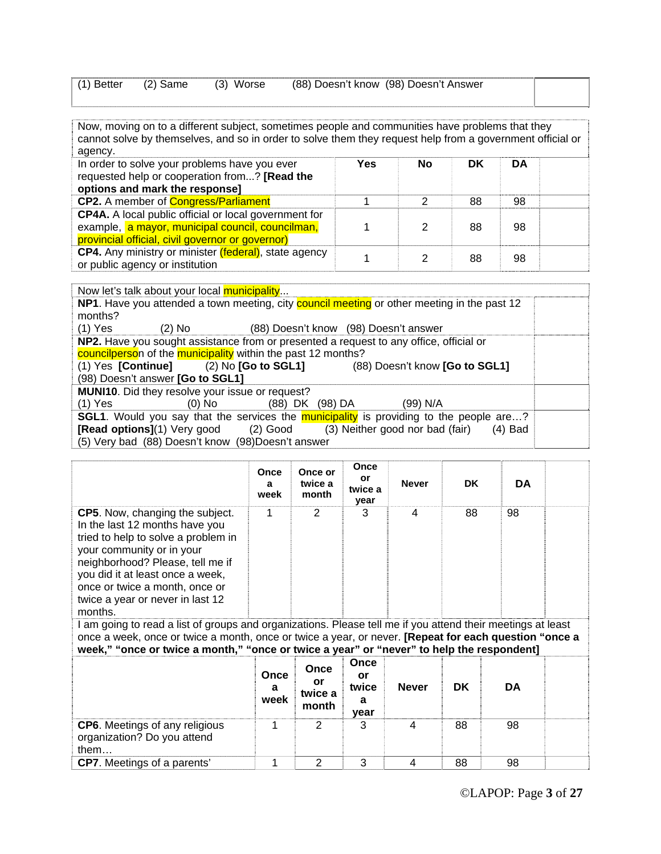|  |  | $(1)$ Better $(2)$ Same $(3)$ Worse | (88) Doesn't know (98) Doesn't Answer |  |
|--|--|-------------------------------------|---------------------------------------|--|
|--|--|-------------------------------------|---------------------------------------|--|

Now, moving on to a different subject, sometimes people and communities have problems that they cannot solve by themselves, and so in order to solve them they request help from a government official or agency.

| In order to solve your problems have you ever<br>requested help or cooperation from? [Read the<br>options and mark the response] | Yes | <b>No</b> | DK | DA |  |
|----------------------------------------------------------------------------------------------------------------------------------|-----|-----------|----|----|--|
| <b>CP2.</b> A member of <b>Congress/Parliament</b>                                                                               |     |           | 88 | 98 |  |
| CP4A. A local public official or local government for                                                                            |     |           |    |    |  |
| example, a mayor, municipal council, councilman,                                                                                 |     |           | 88 | 98 |  |
| provincial official, civil governor or governor)                                                                                 |     |           |    |    |  |
| <b>CP4.</b> Any ministry or minister <i>(federal)</i> , state agency                                                             |     |           | 88 | 98 |  |
| or public agency or institution                                                                                                  |     |           |    |    |  |

Now let's talk about your local municipality... **NP1**. Have you attended a town meeting, city **council meeting** or other meeting in the past 12 months? (1) Yes (2) No (88) Doesn't know (98) Doesn't answer **NP2.** Have you sought assistance from or presented a request to any office, official or councilperson of the municipality within the past 12 months? (1) Yes **[Continue]** (2) No **[Go to SGL1]** (88) Doesn't know **[Go to SGL1]** (98) Doesn't answer **[Go to SGL1] MUNI10**. Did they resolve your issue or request? (1) Yes (0) No (88) DK (98) DA (99) N/A **SGL1**. Would you say that the services the **municipality** is providing to the people are...? **[Read options]**(1) Very good (2) Good (3) Neither good nor bad (fair) (4) Bad (5) Very bad (88) Doesn't know (98)Doesn't answer

|                                                                                                                                                                                                                                                                                                       | Once<br>a<br>week | Once or<br>twice a<br>month | Once<br>or<br>twice a<br>year | <b>Never</b> | <b>DK</b> | <b>DA</b> |  |
|-------------------------------------------------------------------------------------------------------------------------------------------------------------------------------------------------------------------------------------------------------------------------------------------------------|-------------------|-----------------------------|-------------------------------|--------------|-----------|-----------|--|
| <b>CP5.</b> Now, changing the subject.<br>In the last 12 months have you<br>tried to help to solve a problem in<br>your community or in your<br>neighborhood? Please, tell me if<br>you did it at least once a week,<br>once or twice a month, once or<br>twice a year or never in last 12<br>months. |                   | 2                           | 3                             | 4            | 88        | 98        |  |
| am noing to read a list of groups and organizations. Please tell me if you attend their meetings at least                                                                                                                                                                                             |                   |                             |                               |              |           |           |  |

I am going to read a list of groups and organizations. Please tell me if you attend their meetings at least once a week, once or twice a month, once or twice a year, or never. **[Repeat for each question "once a week," "once or twice a month," "once or twice a year" or "never" to help the respondent]**

|                                                                              | Once<br>a<br>week | Once<br>or<br>twice a<br>month | <b>Once</b><br>or<br>twice<br>а<br>vear | <b>Never</b> | DK | DA |  |
|------------------------------------------------------------------------------|-------------------|--------------------------------|-----------------------------------------|--------------|----|----|--|
| <b>CP6.</b> Meetings of any religious<br>organization? Do you attend<br>them |                   | າ                              | 3                                       |              | 88 | 98 |  |
| <b>CP7.</b> Meetings of a parents'                                           |                   |                                | 3                                       |              | 88 | 98 |  |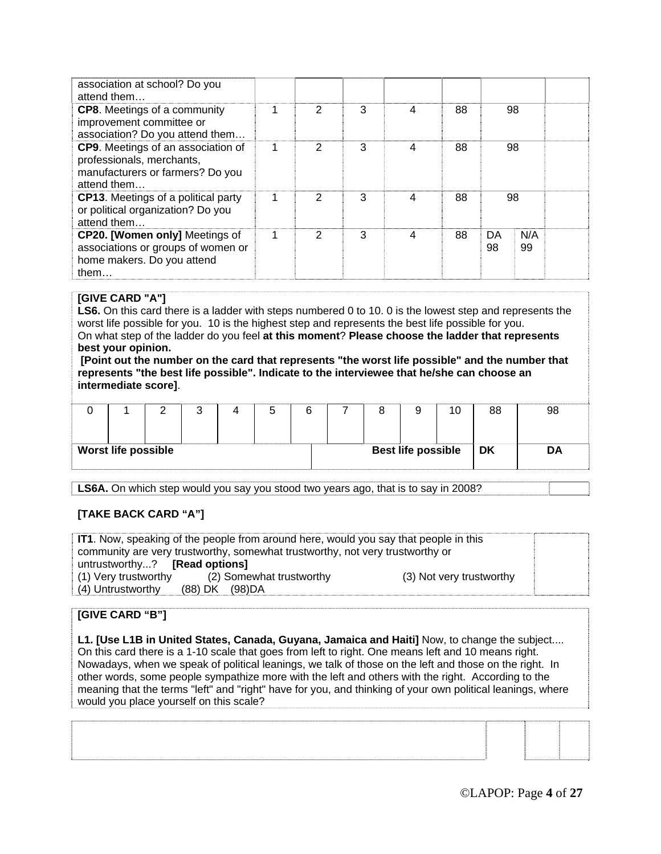| association at school? Do you<br>attend them                                                                       |               |   |   |    |          |           |  |
|--------------------------------------------------------------------------------------------------------------------|---------------|---|---|----|----------|-----------|--|
| <b>CP8.</b> Meetings of a community<br>improvement committee or<br>association? Do you attend them                 | 2             | 3 | 4 | 88 | 98       |           |  |
| CP9. Meetings of an association of<br>professionals, merchants,<br>manufacturers or farmers? Do you<br>attend them | 2             | 3 | 4 | 88 | 98       |           |  |
| <b>CP13.</b> Meetings of a political party<br>or political organization? Do you<br>attend them                     | $\mathcal{P}$ | 3 | 4 | 88 | 98       |           |  |
| CP20. [Women only] Meetings of<br>associations or groups of women or<br>home makers. Do you attend<br>them $\dots$ | 2             | 3 | 4 | 88 | DA<br>98 | N/A<br>99 |  |

#### **[GIVE CARD "A"]**

**LS6.** On this card there is a ladder with steps numbered 0 to 10, 0 is the lowest step and represents the worst life possible for you. 10 is the highest step and represents the best life possible for you. On what step of the ladder do you feel **at this moment**? **Please choose the ladder that represents best your opinion.**

**[Point out the number on the card that represents "the worst life possible" and the number that represents "the best life possible". Indicate to the interviewee that he/she can choose an intermediate score]**.

|                            |  |  |  |                           | 10 | 88 | 98 |
|----------------------------|--|--|--|---------------------------|----|----|----|
| <b>Worst life possible</b> |  |  |  | <b>Best life possible</b> |    | DK | DΑ |

**LS6A.** On which step would you say you stood two years ago, that is to say in 2008?

#### **[TAKE BACK CARD "A"]**

**IT1**. Now, speaking of the people from around here, would you say that people in this community are very trustworthy, somewhat trustworthy, not very trustworthy or untrustworthy...? **[Read options]**  (1) Very trustworthy (2) Somewhat trustworthy (3) Not very trustworthy (4) Untrustworthy (88) DK (98)DA

#### **[GIVE CARD "B"]**

**L1. [Use L1B in United States, Canada, Guyana, Jamaica and Haiti]** Now, to change the subject.... On this card there is a 1-10 scale that goes from left to right. One means left and 10 means right. Nowadays, when we speak of political leanings, we talk of those on the left and those on the right. In other words, some people sympathize more with the left and others with the right. According to the meaning that the terms "left" and "right" have for you, and thinking of your own political leanings, where would you place yourself on this scale?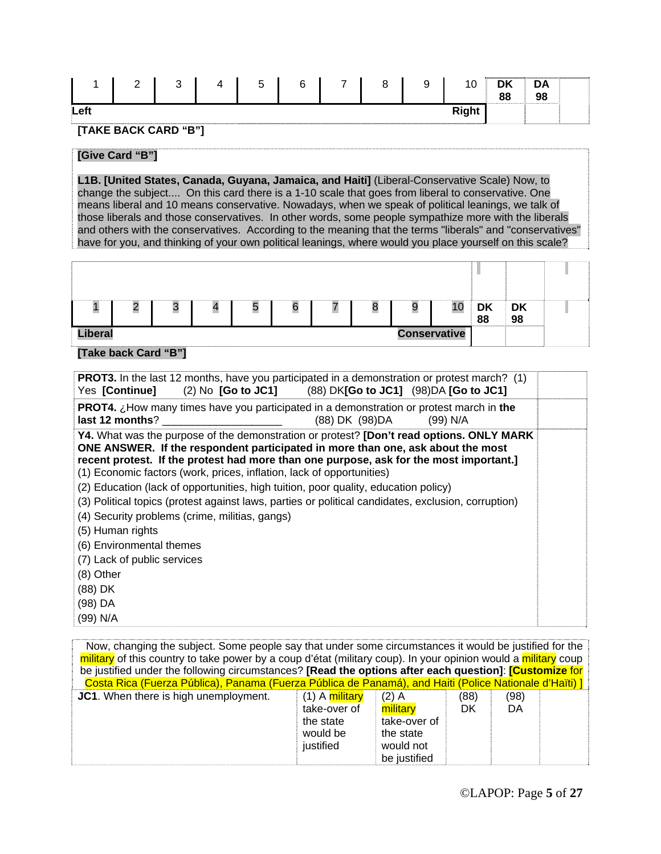|      | $\sim$<br><u>_</u> | $\sim$<br>. . | -- | -<br><b>1</b><br>w | $\sim$<br>ь | - | $\Omega$<br>С | 9 | ៱<br>ïU.          | <b>DI</b><br>PIN.<br>88 | DA<br>98                                    |  |
|------|--------------------|---------------|----|--------------------|-------------|---|---------------|---|-------------------|-------------------------|---------------------------------------------|--|
| Left |                    |               |    |                    |             |   |               |   | <b>Dialat</b><br> |                         | <b><i>Bassage Contractor Contractor</i></b> |  |

#### **[TAKE BACK CARD "B"]**

#### **[Give Card "B"]**

**L1B. [United States, Canada, Guyana, Jamaica, and Haiti]** (Liberal-Conservative Scale) Now, to change the subject.... On this card there is a 1-10 scale that goes from liberal to conservative. One means liberal and 10 means conservative. Nowadays, when we speak of political leanings, we talk of those liberals and those conservatives. In other words, some people sympathize more with the liberals and others with the conservatives. According to the meaning that the terms "liberals" and "conservatives" have for you, and thinking of your own political leanings, where would you place yourself on this scale?

|                                       | ═ | ື | n |  |  |  | О | 9 | 10 | <b>DK</b><br>88 | $\overline{\phantom{a}}$ DK<br>98 |  |
|---------------------------------------|---|---|---|--|--|--|---|---|----|-----------------|-----------------------------------|--|
| <b>Liberal</b><br><b>Conservative</b> |   |   |   |  |  |  |   |   |    |                 |                                   |  |

#### **[Take back Card "B"]**

| <b>PROT3.</b> In the last 12 months, have you participated in a demonstration or protest march? (1)<br>(2) No [Go to JC1] (88) DK[Go to JC1] (98) DA [Go to JC1]<br>Yes [Continue]                                                                                                                                                                                                                                                    |  |
|---------------------------------------------------------------------------------------------------------------------------------------------------------------------------------------------------------------------------------------------------------------------------------------------------------------------------------------------------------------------------------------------------------------------------------------|--|
| <b>PROT4.</b> $\chi$ How many times have you participated in a demonstration or protest march in the<br>(88) DK (98) DA<br>last 12 months?<br>(99) N/A                                                                                                                                                                                                                                                                                |  |
| Y4. What was the purpose of the demonstration or protest? [Don't read options. ONLY MARK<br>ONE ANSWER. If the respondent participated in more than one, ask about the most<br>recent protest. If the protest had more than one purpose, ask for the most important.]<br>(1) Economic factors (work, prices, inflation, lack of opportunities)<br>(2) Education (lack of opportunities, high tuition, poor quality, education policy) |  |
| (3) Political topics (protest against laws, parties or political candidates, exclusion, corruption)<br>(4) Security problems (crime, militias, gangs)                                                                                                                                                                                                                                                                                 |  |
| (5) Human rights<br>(6) Environmental themes<br>(7) Lack of public services                                                                                                                                                                                                                                                                                                                                                           |  |
| $(8)$ Other<br>(88) DK                                                                                                                                                                                                                                                                                                                                                                                                                |  |
| $(98)$ DA<br>(99) N/A                                                                                                                                                                                                                                                                                                                                                                                                                 |  |

| Now, changing the subject. Some people say that under some circumstances it would be justified for the<br>military of this country to take power by a coup d'état (military coup). In your opinion would a military coup<br>be justified under the following circumstances? [Read the options after each question]: [Customize for |                |              |      |      |  |
|------------------------------------------------------------------------------------------------------------------------------------------------------------------------------------------------------------------------------------------------------------------------------------------------------------------------------------|----------------|--------------|------|------|--|
| Costa Rica (Fuerza Pública), Panama (Fuerza Pública de Panamá), and Haiti (Police Nationale d'Haïti) ]                                                                                                                                                                                                                             |                |              |      |      |  |
| <b>JC1.</b> When there is high unemployment.                                                                                                                                                                                                                                                                                       | (1) A military | $(2)$ A      | (88) | (98) |  |
|                                                                                                                                                                                                                                                                                                                                    | take-over of   | military     | DK.  | DA   |  |
|                                                                                                                                                                                                                                                                                                                                    | the state      | take-over of |      |      |  |
|                                                                                                                                                                                                                                                                                                                                    | would be       | the state    |      |      |  |
|                                                                                                                                                                                                                                                                                                                                    | justified      | would not    |      |      |  |
|                                                                                                                                                                                                                                                                                                                                    |                | be justified |      |      |  |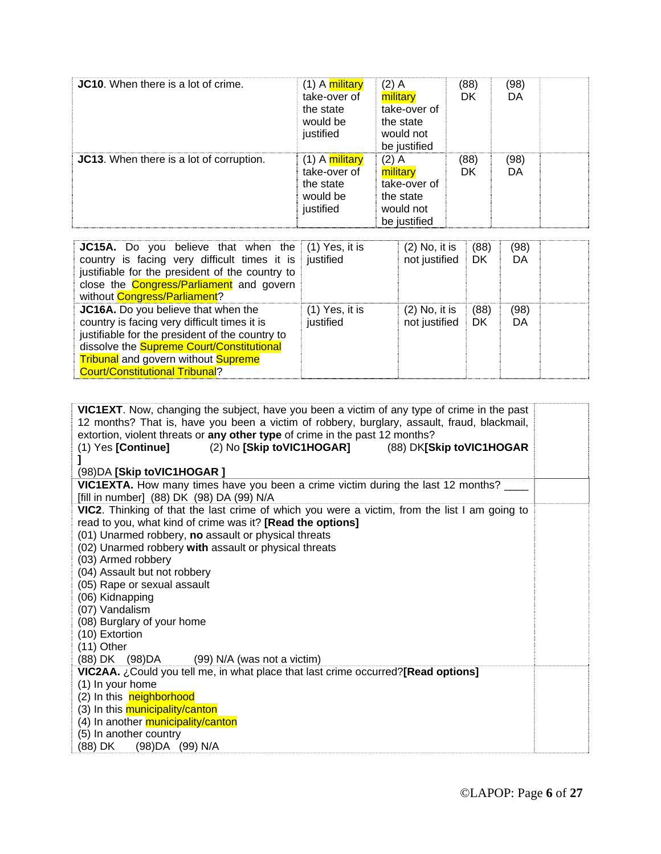| <b>JC10.</b> When there is a lot of crime. | (1) A <mark>military</mark><br>take-over of<br>the state<br>would be<br>justified | $(2)$ A<br>military<br>take-over of<br>the state<br>would not<br>be justified | (88)<br>DK | (98)<br>DA |  |
|--------------------------------------------|-----------------------------------------------------------------------------------|-------------------------------------------------------------------------------|------------|------------|--|
| JC13. When there is a lot of corruption.   | (1) A <mark>military</mark><br>take-over of<br>the state<br>would be<br>justified | $(2)$ A<br>military<br>take-over of<br>the state<br>would not<br>be justified | (88)<br>DK | (98)<br>DA |  |

| <b>JC15A.</b> Do you believe that when the $(1)$ Yes, it is<br>country is facing very difficult times it is justified<br>justifiable for the president of the country to<br>close the <b>Congress/Parliament</b> and govern<br>without <b>Congress/Parliament</b> ?                      |                               | $(2)$ No, it is<br>not justified | (88)<br>DK | (98)<br>DA |  |
|------------------------------------------------------------------------------------------------------------------------------------------------------------------------------------------------------------------------------------------------------------------------------------------|-------------------------------|----------------------------------|------------|------------|--|
| JC16A. Do you believe that when the<br>country is facing very difficult times it is<br>justifiable for the president of the country to<br>dissolve the <b>Supreme Court/Constitutional</b><br><b>Tribunal</b> and govern without <b>Supreme</b><br><b>Court/Constitutional Tribunal?</b> | $(1)$ Yes, it is<br>justified | $(2)$ No, it is<br>not justified | (88)<br>DK | (98)<br>DA |  |

| VIC1EXT. Now, changing the subject, have you been a victim of any type of crime in the past<br>12 months? That is, have you been a victim of robbery, burglary, assault, fraud, blackmail,<br>extortion, violent threats or any other type of crime in the past 12 months?<br>(2) No [Skip toVIC1HOGAR] (88) DK[Skip toVIC1HOGAR<br>$(1)$ Yes [Continue]<br>(98) DA [Skip to VIC1HOGAR]                                                                                                                                    |  |
|----------------------------------------------------------------------------------------------------------------------------------------------------------------------------------------------------------------------------------------------------------------------------------------------------------------------------------------------------------------------------------------------------------------------------------------------------------------------------------------------------------------------------|--|
| <b>VIC1EXTA.</b> How many times have you been a crime victim during the last 12 months?                                                                                                                                                                                                                                                                                                                                                                                                                                    |  |
| [fill in number] (88) DK (98) DA (99) N/A                                                                                                                                                                                                                                                                                                                                                                                                                                                                                  |  |
| VIC2. Thinking of that the last crime of which you were a victim, from the list I am going to<br>read to you, what kind of crime was it? [Read the options]<br>(01) Unarmed robbery, no assault or physical threats<br>(02) Unarmed robbery with assault or physical threats<br>(03) Armed robbery<br>(04) Assault but not robbery<br>(05) Rape or sexual assault<br>(06) Kidnapping<br>(07) Vandalism<br>(08) Burglary of your home<br>(10) Extortion<br>$(11)$ Other<br>$(88)$ DK $(98)DA$ $(99)$ N/A (was not a victim) |  |
| VIC2AA. ¿Could you tell me, in what place that last crime occurred?[Read options]                                                                                                                                                                                                                                                                                                                                                                                                                                          |  |
| (1) In your home<br>(2) In this neighborhood                                                                                                                                                                                                                                                                                                                                                                                                                                                                               |  |
| (3) In this municipality/canton                                                                                                                                                                                                                                                                                                                                                                                                                                                                                            |  |
| (4) In another municipality/canton                                                                                                                                                                                                                                                                                                                                                                                                                                                                                         |  |
| (5) In another country<br>(88) DK<br>(98) DA (99) N/A                                                                                                                                                                                                                                                                                                                                                                                                                                                                      |  |
|                                                                                                                                                                                                                                                                                                                                                                                                                                                                                                                            |  |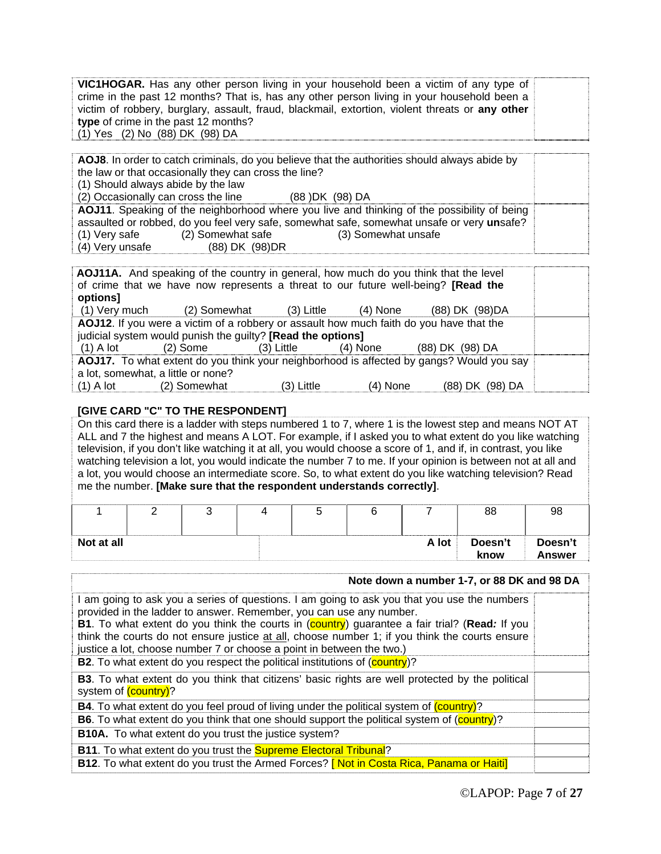| VIC1HOGAR. Has any other person living in your household been a victim of any type of           |  |
|-------------------------------------------------------------------------------------------------|--|
| crime in the past 12 months? That is, has any other person living in your household been a      |  |
| victim of robbery, burglary, assault, fraud, blackmail, extortion, violent threats or any other |  |
| type of crime in the past 12 months?                                                            |  |
| (1) Yes (2) No (88) DK (98) DA                                                                  |  |

**AOJ8**. In order to catch criminals, do you believe that the authorities should always abide by the law or that occasionally they can cross the line? (1) Should always abide by the law (2) Occasionally can cross the line (88 )DK (98) DA **AOJ11**. Speaking of the neighborhood where you live and thinking of the possibility of being assaulted or robbed, do you feel very safe, somewhat safe, somewhat unsafe or very **un**safe? (1) Very safe (2) Somewhat safe (3) Somewhat unsafe (4) Very unsafe (88) DK (98)DR

| AOJ11A. And speaking of the country in general, how much do you think that the level<br>of crime that we have now represents a threat to our future well-being? [Read the<br>options] |                                                                                                                                                        |              |            |                 |  |
|---------------------------------------------------------------------------------------------------------------------------------------------------------------------------------------|--------------------------------------------------------------------------------------------------------------------------------------------------------|--------------|------------|-----------------|--|
|                                                                                                                                                                                       | (1) Very much (2) Somewhat (3) Little                                                                                                                  |              | (4) None   | (88) DK (98) DA |  |
|                                                                                                                                                                                       | AOJ12. If you were a victim of a robbery or assault how much faith do you have that the<br>judicial system would punish the guilty? [Read the options] |              |            |                 |  |
| $(1)$ A lot                                                                                                                                                                           | (2) Some                                                                                                                                               | (3) Little   | (4) None   | (88) DK (98) DA |  |
| AOJ17. To what extent do you think your neighborhood is affected by gangs? Would you say<br>a lot, somewhat, a little or none?                                                        |                                                                                                                                                        |              |            |                 |  |
|                                                                                                                                                                                       |                                                                                                                                                        |              |            |                 |  |
| $(1)$ A lot                                                                                                                                                                           | (2) Somewhat                                                                                                                                           | $(3)$ Little | $(4)$ None | (88) DK (98) DA |  |

#### **[GIVE CARD "C" TO THE RESPONDENT]**

On this card there is a ladder with steps numbered 1 to 7, where 1 is the lowest step and means NOT AT ALL and 7 the highest and means A LOT. For example, if I asked you to what extent do you like watching television, if you don't like watching it at all, you would choose a score of 1, and if, in contrast, you like watching television a lot, you would indicate the number 7 to me. If your opinion is between not at all and a lot, you would choose an intermediate score. So, to what extent do you like watching television? Read me the number. **[Make sure that the respondent understands correctly]**.

|            |  |  |       | 88              | 98                       |
|------------|--|--|-------|-----------------|--------------------------|
| Not at all |  |  | A lot | Doesn't<br>know | Doesn't<br><b>Answer</b> |

| Note down a number 1-7, or 88 DK and 98 DA                                                                                                                                                                                                                                                                                                                                                                                                            |  |
|-------------------------------------------------------------------------------------------------------------------------------------------------------------------------------------------------------------------------------------------------------------------------------------------------------------------------------------------------------------------------------------------------------------------------------------------------------|--|
| I am going to ask you a series of questions. I am going to ask you that you use the numbers<br>provided in the ladder to answer. Remember, you can use any number.<br><b>B1.</b> To what extent do you think the courts in (country) guarantee a fair trial? (Read: If you<br>think the courts do not ensure justice at all, choose number 1; if you think the courts ensure<br>justice a lot, choose number 7 or choose a point in between the two.) |  |
| <b>B2.</b> To what extent do you respect the political institutions of (country)?                                                                                                                                                                                                                                                                                                                                                                     |  |
| <b>B3.</b> To what extent do you think that citizens' basic rights are well protected by the political<br>system of (country)?                                                                                                                                                                                                                                                                                                                        |  |
| <b>B4.</b> To what extent do you feel proud of living under the political system of (country)?                                                                                                                                                                                                                                                                                                                                                        |  |
| <b>B6.</b> To what extent do you think that one should support the political system of (country)?                                                                                                                                                                                                                                                                                                                                                     |  |
| <b>B10A.</b> To what extent do you trust the justice system?                                                                                                                                                                                                                                                                                                                                                                                          |  |
| <b>B11.</b> To what extent do you trust the <b>Supreme Electoral Tribunal</b> ?                                                                                                                                                                                                                                                                                                                                                                       |  |
| B12. To what extent do you trust the Armed Forces? [Not in Costa Rica, Panama or Haiti]                                                                                                                                                                                                                                                                                                                                                               |  |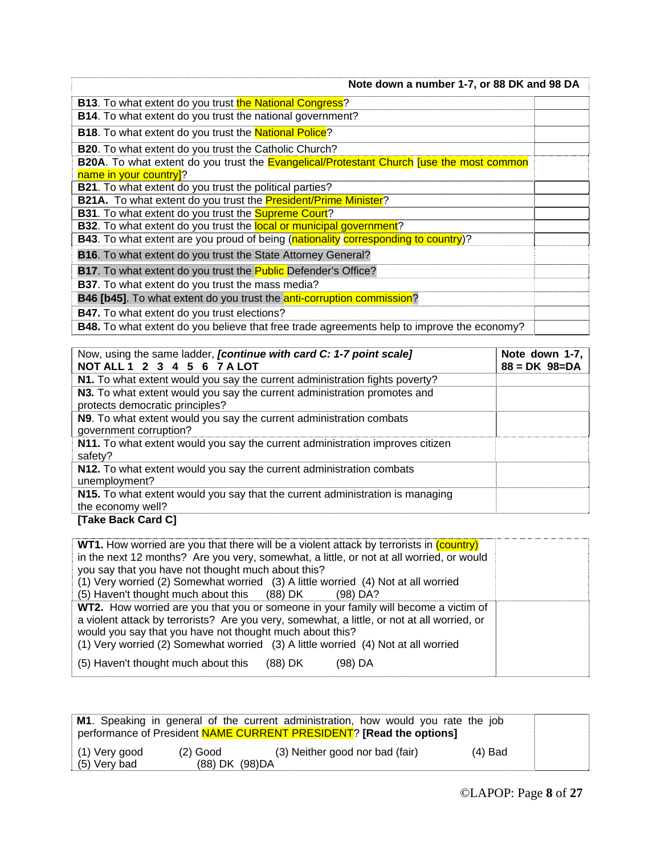| Note down a number 1-7, or 88 DK and 98 DA                                                        |  |
|---------------------------------------------------------------------------------------------------|--|
| <b>B13.</b> To what extent do you trust the National Congress?                                    |  |
| <b>B14.</b> To what extent do you trust the national government?                                  |  |
| <b>B18.</b> To what extent do you trust the <b>National Police</b> ?                              |  |
| <b>B20.</b> To what extent do you trust the Catholic Church?                                      |  |
| <b>B20A.</b> To what extent do you trust the Evangelical/Protestant Church Juse the most common   |  |
| name in your country]?                                                                            |  |
| <b>B21</b> . To what extent do you trust the political parties?                                   |  |
| B21A. To what extent do you trust the <b>President/Prime Minister</b> ?                           |  |
| B31. To what extent do you trust the Supreme Court?                                               |  |
| <b>B32.</b> To what extent do you trust the <b>local or municipal government</b> ?                |  |
| <b>B43</b> . To what extent are you proud of being (nationality corresponding to country)?        |  |
| <b>B16.</b> To what extent do you trust the State Attorney General?                               |  |
| <b>B17.</b> To what extent do you trust the <b>Public</b> Defender's Office?                      |  |
| <b>B37</b> . To what extent do you trust the mass media?                                          |  |
| <b>B46 [b45]</b> . To what extent do you trust the <b>anti-corruption commission</b> ?            |  |
| <b>B47.</b> To what extent do you trust elections?                                                |  |
| <b>B48.</b> To what extent do you believe that free trade agreements help to improve the economy? |  |

| Now, using the same ladder, <i>[continue with card C: 1-7 point scale]</i><br>NOT ALL 1 2 3 4 5 6 7 A LOT   | Note down 1-7,<br>$88 = DK 98 = DA$ |
|-------------------------------------------------------------------------------------------------------------|-------------------------------------|
| N1. To what extent would you say the current administration fights poverty?                                 |                                     |
| N3. To what extent would you say the current administration promotes and<br>protects democratic principles? |                                     |
| N9. To what extent would you say the current administration combats<br>government corruption?               |                                     |
| N11. To what extent would you say the current administration improves citizen<br>safety?                    |                                     |
| N12. To what extent would you say the current administration combats<br>unemployment?                       |                                     |
| N15. To what extent would you say that the current administration is managing<br>the economy well?          |                                     |

#### **[Take Back Card C]**

| <b>WT1.</b> How worried are you that there will be a violent attack by terrorists in (country)<br>in the next 12 months? Are you very, somewhat, a little, or not at all worried, or would<br>you say that you have not thought much about this?<br>(1) Very worried (2) Somewhat worried (3) A little worried (4) Not at all worried<br>(5) Haven't thought much about this (88) DK<br>$(98)$ DA? |  |
|----------------------------------------------------------------------------------------------------------------------------------------------------------------------------------------------------------------------------------------------------------------------------------------------------------------------------------------------------------------------------------------------------|--|
| WT2. How worried are you that you or someone in your family will become a victim of<br>a violent attack by terrorists? Are you very, somewhat, a little, or not at all worried, or<br>would you say that you have not thought much about this?<br>(1) Very worried (2) Somewhat worried (3) A little worried (4) Not at all worried<br>(5) Haven't thought much about this<br>(88) DK<br>(98) DA   |  |

|                                   |                               | M1. Speaking in general of the current administration, how would you rate the job<br>performance of President NAME CURRENT PRESIDENT? [Read the options] |           |  |
|-----------------------------------|-------------------------------|----------------------------------------------------------------------------------------------------------------------------------------------------------|-----------|--|
| $(1)$ Very good<br>$(5)$ Very bad | $(2)$ Good<br>(88) DK (98) DA | (3) Neither good nor bad (fair)                                                                                                                          | $(4)$ Bad |  |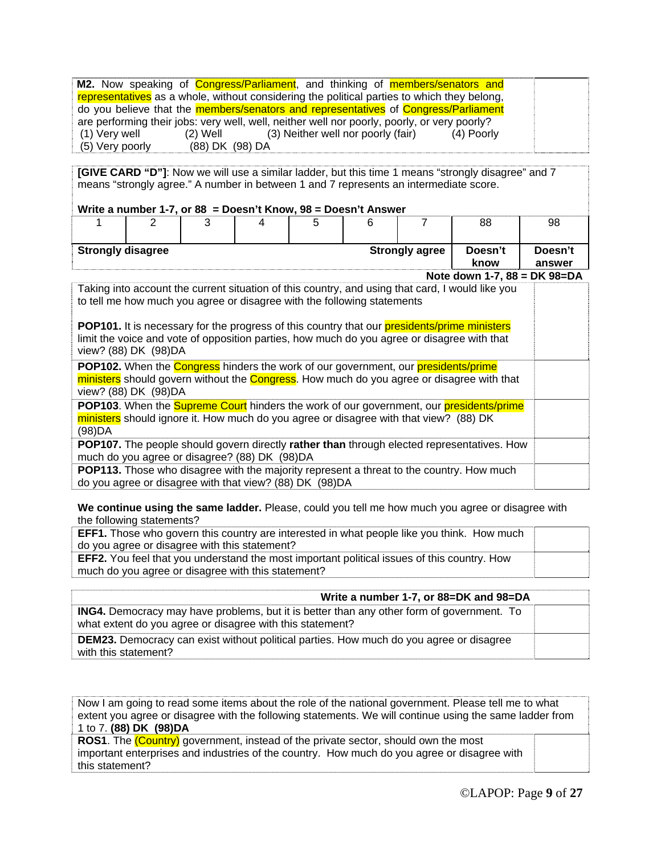|                 |                 |                                                                                              |  | M2. Now speaking of Congress/Parliament, and thinking of members/senators and               |
|-----------------|-----------------|----------------------------------------------------------------------------------------------|--|---------------------------------------------------------------------------------------------|
|                 |                 |                                                                                              |  | representatives as a whole, without considering the political parties to which they belong, |
|                 |                 |                                                                                              |  | do you believe that the members/senators and representatives of Congress/Parliament         |
|                 |                 | are performing their jobs: very well, well, neither well nor poorly, poorly, or very poorly? |  |                                                                                             |
| (1) Very well   | (2) Well        | (3) Neither well nor poorly (fair)                                                           |  | (4) Poorly                                                                                  |
| (5) Very poorly | (88) DK (98) DA |                                                                                              |  |                                                                                             |

**[GIVE CARD "D"]**: Now we will use a similar ladder, but this time 1 means "strongly disagree" and 7 means "strongly agree." A number in between 1 and 7 represents an intermediate score.

#### **Write a number 1-7, or 88 = Doesn't Know, 98 = Doesn't Answer**

|                          | - |  |  |                       | 88              | 98                |
|--------------------------|---|--|--|-----------------------|-----------------|-------------------|
| <b>Strongly disagree</b> |   |  |  | <b>Strongly agree</b> | Doesn't<br>know | Doesn't<br>answer |

**Note down 1-7, 88 = DK 98=DA**

| Taking into account the current situation of this country, and using that card, I would like you<br>to tell me how much you agree or disagree with the following statements                                          |  |
|----------------------------------------------------------------------------------------------------------------------------------------------------------------------------------------------------------------------|--|
| POP101. It is necessary for the progress of this country that our presidents/prime ministers<br>limit the voice and vote of opposition parties, how much do you agree or disagree with that<br>view? (88) DK (98) DA |  |
| POP102. When the Congress hinders the work of our government, our presidents/prime<br>ministers should govern without the Congress. How much do you agree or disagree with that<br>view? (88) DK (98) DA             |  |
| POP103. When the Supreme Court hinders the work of our government, our presidents/prime<br>ministers should ignore it. How much do you agree or disagree with that view? (88) DK<br>(98)DA                           |  |
| POP107. The people should govern directly rather than through elected representatives. How<br>much do you agree or disagree? (88) DK (98) DA                                                                         |  |
| <b>POP113.</b> Those who disagree with the majority represent a threat to the country. How much<br>do you agree or disagree with that view? (88) DK (98)DA                                                           |  |

**We continue using the same ladder.** Please, could you tell me how much you agree or disagree with the following statements?

| <b>EFF1.</b> Those who govern this country are interested in what people like you think. How much |  |
|---------------------------------------------------------------------------------------------------|--|
| do you agree or disagree with this statement?                                                     |  |
| EFF2. You feel that you understand the most important political issues of this country. How       |  |
| much do you agree or disagree with this statement?                                                |  |

| Write a number 1-7, or 88=DK and 98=DA                                                                                                                        |  |
|---------------------------------------------------------------------------------------------------------------------------------------------------------------|--|
| <b>ING4.</b> Democracy may have problems, but it is better than any other form of government. To<br>what extent do you agree or disagree with this statement? |  |
| <b>DEM23.</b> Democracy can exist without political parties. How much do you agree or disagree<br>with this statement?                                        |  |

Now I am going to read some items about the role of the national government. Please tell me to what extent you agree or disagree with the following statements. We will continue using the same ladder from 1 to 7. **(88) DK (98)DA**

**ROS1**. The (Country) government, instead of the private sector, should own the most important enterprises and industries of the country. How much do you agree or disagree with this statement?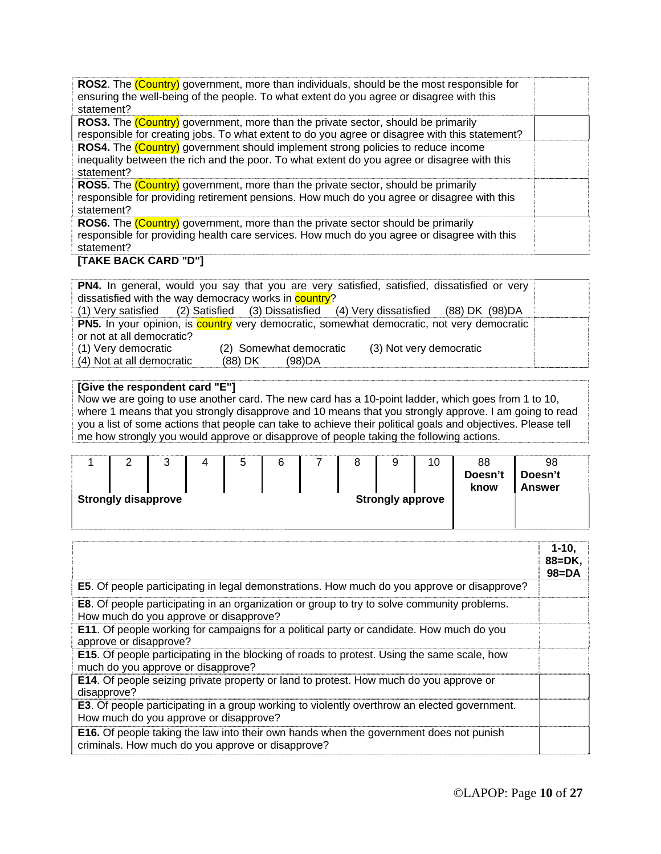| ROS2. The (Country) government, more than individuals, should be the most responsible for<br>ensuring the well-being of the people. To what extent do you agree or disagree with this<br>statement? |  |
|-----------------------------------------------------------------------------------------------------------------------------------------------------------------------------------------------------|--|
| <b>ROS3.</b> The <i>(Country)</i> government, more than the private sector, should be primarily                                                                                                     |  |
| responsible for creating jobs. To what extent to do you agree or disagree with this statement?                                                                                                      |  |
| ROS4. The (Country) government should implement strong policies to reduce income<br>inequality between the rich and the poor. To what extent do you agree or disagree with this<br>statement?       |  |
| <b>ROS5.</b> The <i>(Country)</i> government, more than the private sector, should be primarily                                                                                                     |  |
| responsible for providing retirement pensions. How much do you agree or disagree with this<br>statement?                                                                                            |  |
| <b>ROS6.</b> The <i>(Country)</i> government, more than the private sector should be primarily                                                                                                      |  |
| responsible for providing health care services. How much do you agree or disagree with this<br>statement?                                                                                           |  |

#### **[TAKE BACK CARD "D"]**

|                                                               |                         | PN4. In general, would you say that you are very satisfied, satisfied, dissatisfied or very              |  |
|---------------------------------------------------------------|-------------------------|----------------------------------------------------------------------------------------------------------|--|
| dissatisfied with the way democracy works in <b>country</b> ? |                         |                                                                                                          |  |
|                                                               |                         | (1) Very satisfied (2) Satisfied (3) Dissatisfied (4) Very dissatisfied (88) DK (98) DA                  |  |
|                                                               |                         | <b>PN5.</b> In your opinion, is <b>country</b> very democratic, somewhat democratic, not very democratic |  |
| or not at all democratic?                                     |                         |                                                                                                          |  |
| (1) Very democratic                                           | (2) Somewhat democratic | (3) Not very democratic                                                                                  |  |
| (4) Not at all democratic                                     | (88) DK (98) DA         |                                                                                                          |  |

#### **[Give the respondent card "E"]**

Now we are going to use another card. The new card has a 10-point ladder, which goes from 1 to 10, where 1 means that you strongly disapprove and 10 means that you strongly approve. I am going to read you a list of some actions that people can take to achieve their political goals and objectives. Please tell me how strongly you would approve or disapprove of people taking the following actions.

|  | ົ<br>ີ                     | ᄃ<br>ັ | 6 |  | U                       | 10 | 88<br>Doesn't<br>know | 98<br>Doesn't<br>Answer |
|--|----------------------------|--------|---|--|-------------------------|----|-----------------------|-------------------------|
|  | <b>Strongly disapprove</b> |        |   |  | <b>Strongly approve</b> |    |                       |                         |

|                                                                                                                                                    | $1 - 10,$<br>$88 = DK$ .<br>$98 = DA$ |
|----------------------------------------------------------------------------------------------------------------------------------------------------|---------------------------------------|
| <b>E5.</b> Of people participating in legal demonstrations. How much do you approve or disapprove?                                                 |                                       |
| <b>E8.</b> Of people participating in an organization or group to try to solve community problems.<br>How much do you approve or disapprove?       |                                       |
| <b>E11.</b> Of people working for campaigns for a political party or candidate. How much do you<br>approve or disapprove?                          |                                       |
| <b>E15.</b> Of people participating in the blocking of roads to protest. Using the same scale, how<br>much do you approve or disapprove?           |                                       |
| <b>E14.</b> Of people seizing private property or land to protest. How much do you approve or<br>disapprove?                                       |                                       |
| <b>E3.</b> Of people participating in a group working to violently overthrow an elected government.<br>How much do you approve or disapprove?      |                                       |
| <b>E16.</b> Of people taking the law into their own hands when the government does not punish<br>criminals. How much do you approve or disapprove? |                                       |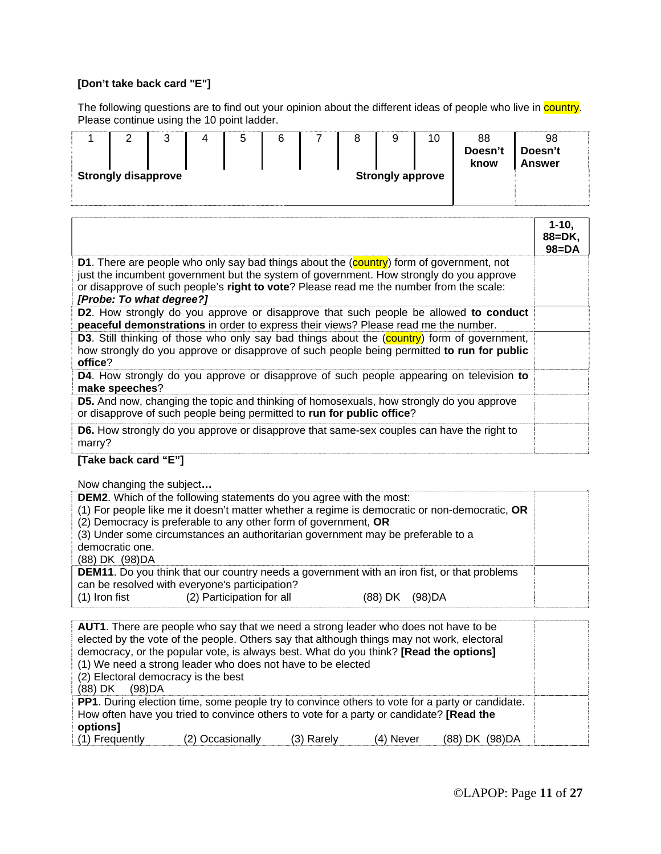#### **[Don't take back card "E"]**

The following questions are to find out your opinion about the different ideas of people who live in *country*. Please continue using the 10 point ladder.

|                                                       |  | ັ |  | 5 | 6 |  |  | a<br>c | 10 | 88<br>Doesn't<br>know | 98<br>Doesn't<br><b>Answer</b> |
|-------------------------------------------------------|--|---|--|---|---|--|--|--------|----|-----------------------|--------------------------------|
| <b>Strongly disapprove</b><br><b>Strongly approve</b> |  |   |  |   |   |  |  |        |    |                       |                                |
|                                                       |  |   |  |   |   |  |  |        |    |                       |                                |

|                                                                                                                                                                                                                                                                                                                   | $1 - 10,$<br>$88 = DK$<br>$98 = DA$ |
|-------------------------------------------------------------------------------------------------------------------------------------------------------------------------------------------------------------------------------------------------------------------------------------------------------------------|-------------------------------------|
| <b>D1.</b> There are people who only say bad things about the (country) form of government, not<br>just the incumbent government but the system of government. How strongly do you approve<br>or disapprove of such people's right to vote? Please read me the number from the scale:<br>[Probe: To what degree?] |                                     |
| <b>D2.</b> How strongly do you approve or disapprove that such people be allowed to conduct<br>peaceful demonstrations in order to express their views? Please read me the number.                                                                                                                                |                                     |
| <b>D3.</b> Still thinking of those who only say bad things about the (country) form of government,<br>how strongly do you approve or disapprove of such people being permitted to run for public<br>office?                                                                                                       |                                     |
| D4. How strongly do you approve or disapprove of such people appearing on television to<br>make speeches?                                                                                                                                                                                                         |                                     |
| <b>D5.</b> And now, changing the topic and thinking of homosexuals, how strongly do you approve<br>or disapprove of such people being permitted to run for public office?                                                                                                                                         |                                     |
| <b>D6.</b> How strongly do you approve or disapprove that same-sex couples can have the right to<br>marry?                                                                                                                                                                                                        |                                     |

#### **[Take back card "E"]**

| Now changing the subject                                                                                                                                                                                                                                                                                                                                                |  |
|-------------------------------------------------------------------------------------------------------------------------------------------------------------------------------------------------------------------------------------------------------------------------------------------------------------------------------------------------------------------------|--|
| <b>DEM2.</b> Which of the following statements do you agree with the most:<br>(1) For people like me it doesn't matter whether a regime is democratic or non-democratic, OR<br>(2) Democracy is preferable to any other form of government, OR<br>(3) Under some circumstances an authoritarian government may be preferable to a<br>democratic one.<br>(88) DK (98) DA |  |
| <b>DEM11.</b> Do you think that our country needs a government with an iron fist, or that problems<br>can be resolved with everyone's participation?<br>(2) Participation for all<br>(1) Iron fist<br>(98)DA<br>$(88)$ DK                                                                                                                                               |  |

| (2) Electoral democracy is the best<br>(88) DK (98) DA | <b>AUT1</b> . There are people who say that we need a strong leader who does not have to be<br>elected by the vote of the people. Others say that although things may not work, electoral<br>democracy, or the popular vote, is always best. What do you think? [Read the options]<br>(1) We need a strong leader who does not have to be elected |            |           |                 |  |
|--------------------------------------------------------|---------------------------------------------------------------------------------------------------------------------------------------------------------------------------------------------------------------------------------------------------------------------------------------------------------------------------------------------------|------------|-----------|-----------------|--|
| options]<br>(1) Frequently                             | <b>PP1</b> . During election time, some people try to convince others to vote for a party or candidate.<br>How often have you tried to convince others to vote for a party or candidate? [Read the<br>(2) Occasionally                                                                                                                            | (3) Rarely | (4) Never | (88) DK (98) DA |  |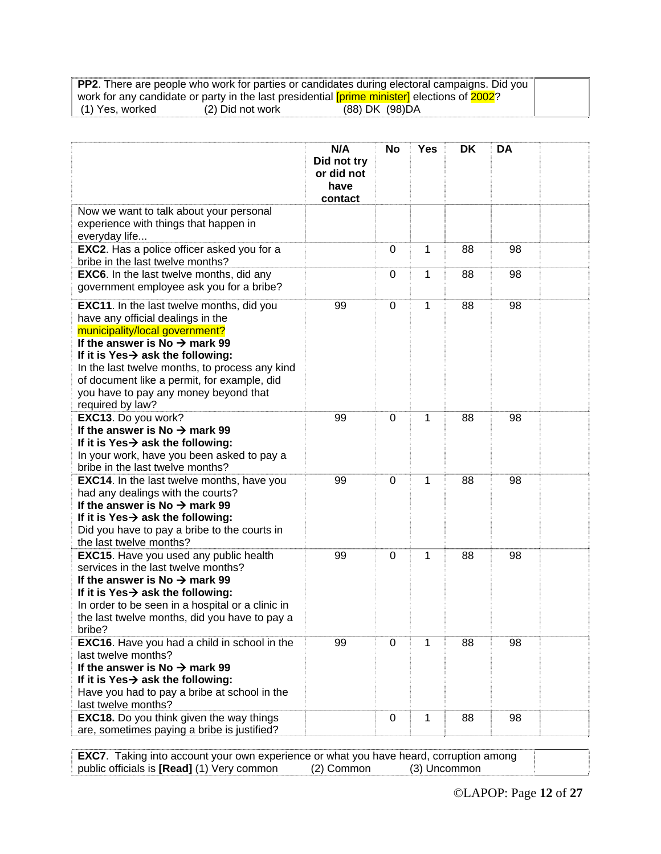|                 |                  | <b>PP2.</b> There are people who work for parties or candidates during electoral campaigns. Did you |  |
|-----------------|------------------|-----------------------------------------------------------------------------------------------------|--|
|                 |                  | work for any candidate or party in the last presidential [prime minister] elections of 2002?        |  |
| (1) Yes, worked | (2) Did not work | (88) DK (98) DA                                                                                     |  |

|                                                                                                                                                                                                                                                                                                                                                                                     | N/A<br>Did not try<br>or did not<br>have | <b>No</b>   | <b>Yes</b> | DK | <b>DA</b> |  |
|-------------------------------------------------------------------------------------------------------------------------------------------------------------------------------------------------------------------------------------------------------------------------------------------------------------------------------------------------------------------------------------|------------------------------------------|-------------|------------|----|-----------|--|
|                                                                                                                                                                                                                                                                                                                                                                                     | contact                                  |             |            |    |           |  |
| Now we want to talk about your personal<br>experience with things that happen in<br>everyday life                                                                                                                                                                                                                                                                                   |                                          |             |            |    |           |  |
| EXC2. Has a police officer asked you for a<br>bribe in the last twelve months?                                                                                                                                                                                                                                                                                                      |                                          | 0           | 1          | 88 | 98        |  |
| <b>EXC6.</b> In the last twelve months, did any<br>government employee ask you for a bribe?                                                                                                                                                                                                                                                                                         |                                          | 0           | 1          | 88 | 98        |  |
| <b>EXC11.</b> In the last twelve months, did you<br>have any official dealings in the<br>municipality/local government?<br>If the answer is No $\rightarrow$ mark 99<br>If it is $Yes \rightarrow ask$ the following:<br>In the last twelve months, to process any kind<br>of document like a permit, for example, did<br>you have to pay any money beyond that<br>required by law? | 99                                       | $\mathbf 0$ | 1          | 88 | 98        |  |
| EXC13. Do you work?<br>If the answer is No $\rightarrow$ mark 99<br>If it is Yes $\rightarrow$ ask the following:<br>In your work, have you been asked to pay a<br>bribe in the last twelve months?                                                                                                                                                                                 | 99                                       | 0           | 1          | 88 | 98        |  |
| <b>EXC14.</b> In the last twelve months, have you<br>had any dealings with the courts?<br>If the answer is No $\rightarrow$ mark 99<br>If it is Yes $\rightarrow$ ask the following:<br>Did you have to pay a bribe to the courts in<br>the last twelve months?                                                                                                                     | 99                                       | $\mathbf 0$ | 1          | 88 | 98        |  |
| <b>EXC15.</b> Have you used any public health<br>services in the last twelve months?<br>If the answer is No $\rightarrow$ mark 99<br>If it is Yes $\rightarrow$ ask the following:<br>In order to be seen in a hospital or a clinic in<br>the last twelve months, did you have to pay a<br>bribe?                                                                                   | 99                                       | 0           | 1          | 88 | 98        |  |
| <b>EXC16.</b> Have you had a child in school in the<br>last twelve months?<br>If the answer is No $\rightarrow$ mark 99<br>If it is Yes $\rightarrow$ ask the following:<br>Have you had to pay a bribe at school in the<br>last twelve months?                                                                                                                                     | 99                                       | $\mathbf 0$ | 1          | 88 | 98        |  |
| <b>EXC18.</b> Do you think given the way things<br>are, sometimes paying a bribe is justified?                                                                                                                                                                                                                                                                                      |                                          | 0           | 1          | 88 | 98        |  |

**EXC7**. Taking into account your own experience or what you have heard, corruption among public officials is **[Read]** (1) Very common (2) Common (3) Uncommon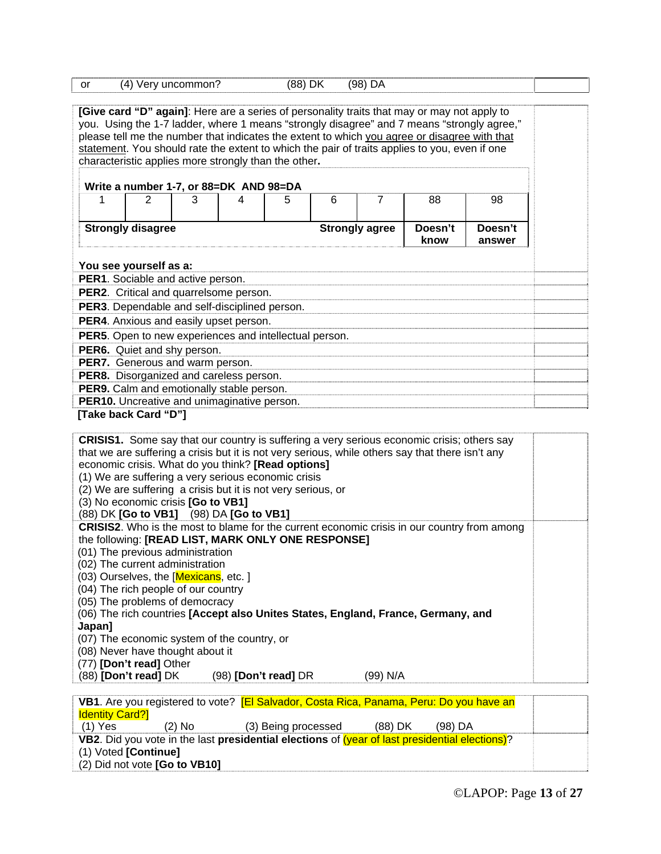| <b>or</b>                                   | (4) Very uncommon?                                     |   |   | (88) DK |   | (98) DA               |                                                                                                   |         |  |
|---------------------------------------------|--------------------------------------------------------|---|---|---------|---|-----------------------|---------------------------------------------------------------------------------------------------|---------|--|
|                                             |                                                        |   |   |         |   |                       |                                                                                                   |         |  |
|                                             |                                                        |   |   |         |   |                       | [Give card "D" again]: Here are a series of personality traits that may or may not apply to       |         |  |
|                                             |                                                        |   |   |         |   |                       | you. Using the 1-7 ladder, where 1 means "strongly disagree" and 7 means "strongly agree,"        |         |  |
|                                             |                                                        |   |   |         |   |                       | please tell me the number that indicates the extent to which you agree or disagree with that      |         |  |
|                                             |                                                        |   |   |         |   |                       | statement. You should rate the extent to which the pair of traits applies to you, even if one     |         |  |
|                                             | characteristic applies more strongly than the other.   |   |   |         |   |                       |                                                                                                   |         |  |
|                                             | Write a number 1-7, or 88=DK AND 98=DA                 |   |   |         |   |                       |                                                                                                   |         |  |
|                                             | 2                                                      | 3 | 4 | 5       | 6 | $\overline{7}$        | 88                                                                                                | 98      |  |
|                                             |                                                        |   |   |         |   |                       |                                                                                                   |         |  |
|                                             | <b>Strongly disagree</b>                               |   |   |         |   | <b>Strongly agree</b> | Doesn't                                                                                           | Doesn't |  |
|                                             |                                                        |   |   |         |   |                       | know                                                                                              | answer  |  |
|                                             |                                                        |   |   |         |   |                       |                                                                                                   |         |  |
|                                             | You see yourself as a:                                 |   |   |         |   |                       |                                                                                                   |         |  |
|                                             | PER1. Sociable and active person.                      |   |   |         |   |                       |                                                                                                   |         |  |
|                                             | PER2. Critical and quarrelsome person.                 |   |   |         |   |                       |                                                                                                   |         |  |
|                                             | PER3. Dependable and self-disciplined person.          |   |   |         |   |                       |                                                                                                   |         |  |
|                                             | PER4. Anxious and easily upset person.                 |   |   |         |   |                       |                                                                                                   |         |  |
|                                             | PER5. Open to new experiences and intellectual person. |   |   |         |   |                       |                                                                                                   |         |  |
| PER6. Quiet and shy person.                 |                                                        |   |   |         |   |                       |                                                                                                   |         |  |
| PER7. Generous and warm person.             |                                                        |   |   |         |   |                       |                                                                                                   |         |  |
| PER8. Disorganized and careless person.     |                                                        |   |   |         |   |                       |                                                                                                   |         |  |
| PER9. Calm and emotionally stable person.   |                                                        |   |   |         |   |                       |                                                                                                   |         |  |
| PER10. Uncreative and unimaginative person. |                                                        |   |   |         |   |                       |                                                                                                   |         |  |
|                                             | [Take back Card "D"]                                   |   |   |         |   |                       |                                                                                                   |         |  |
|                                             |                                                        |   |   |         |   |                       |                                                                                                   |         |  |
|                                             |                                                        |   |   |         |   |                       | <b>CRISIS1.</b> Some say that our country is suffering a very serious economic crisis; others say |         |  |

| <b>CRISIST.</b> Some say that our country is suffering a very serious economic crisis, others say<br>that we are suffering a crisis but it is not very serious, while others say that there isn't any<br>economic crisis. What do you think? [Read options]<br>(1) We are suffering a very serious economic crisis<br>(2) We are suffering a crisis but it is not very serious, or<br>(3) No economic crisis [Go to VB1]<br>(88) DK [Go to VB1] (98) DA [Go to VB1] |  |
|---------------------------------------------------------------------------------------------------------------------------------------------------------------------------------------------------------------------------------------------------------------------------------------------------------------------------------------------------------------------------------------------------------------------------------------------------------------------|--|
| <b>CRISIS2.</b> Who is the most to blame for the current economic crisis in our country from among                                                                                                                                                                                                                                                                                                                                                                  |  |
| the following: [READ LIST, MARK ONLY ONE RESPONSE]                                                                                                                                                                                                                                                                                                                                                                                                                  |  |
| (01) The previous administration                                                                                                                                                                                                                                                                                                                                                                                                                                    |  |
| (02) The current administration                                                                                                                                                                                                                                                                                                                                                                                                                                     |  |
| (03) Ourselves, the [Mexicans, etc. ]                                                                                                                                                                                                                                                                                                                                                                                                                               |  |
| (04) The rich people of our country                                                                                                                                                                                                                                                                                                                                                                                                                                 |  |
| (05) The problems of democracy                                                                                                                                                                                                                                                                                                                                                                                                                                      |  |
| (06) The rich countries [Accept also Unites States, England, France, Germany, and                                                                                                                                                                                                                                                                                                                                                                                   |  |
| Japan]                                                                                                                                                                                                                                                                                                                                                                                                                                                              |  |
| (07) The economic system of the country, or                                                                                                                                                                                                                                                                                                                                                                                                                         |  |
| (08) Never have thought about it                                                                                                                                                                                                                                                                                                                                                                                                                                    |  |
| (77) [Don't read] Other                                                                                                                                                                                                                                                                                                                                                                                                                                             |  |
| (88) <b>[Don't read]</b> DK<br>$(98)$ [Don't read] DR<br>(99) N/A                                                                                                                                                                                                                                                                                                                                                                                                   |  |
| VD4 Are veu registered to vete? [EL Colvedor, Cente Dies, Denome, Deru De veu boye en                                                                                                                                                                                                                                                                                                                                                                               |  |
|                                                                                                                                                                                                                                                                                                                                                                                                                                                                     |  |

|                               |          | VB1. Are you registered to vote? [El Salvador, Costa Rica, Panama, Peru: Do you have an        |           |           |  |
|-------------------------------|----------|------------------------------------------------------------------------------------------------|-----------|-----------|--|
| <b>Identity Card?</b>         |          |                                                                                                |           |           |  |
| $(1)$ Yes                     | $(2)$ No | (3) Being processed                                                                            | $(88)$ DK | $(98)$ DA |  |
|                               |          | VB2. Did you vote in the last presidential elections of (year of last presidential elections)? |           |           |  |
| $(1)$ Voted [Continue]        |          |                                                                                                |           |           |  |
| (2) Did not vote [Go to VB10] |          |                                                                                                |           |           |  |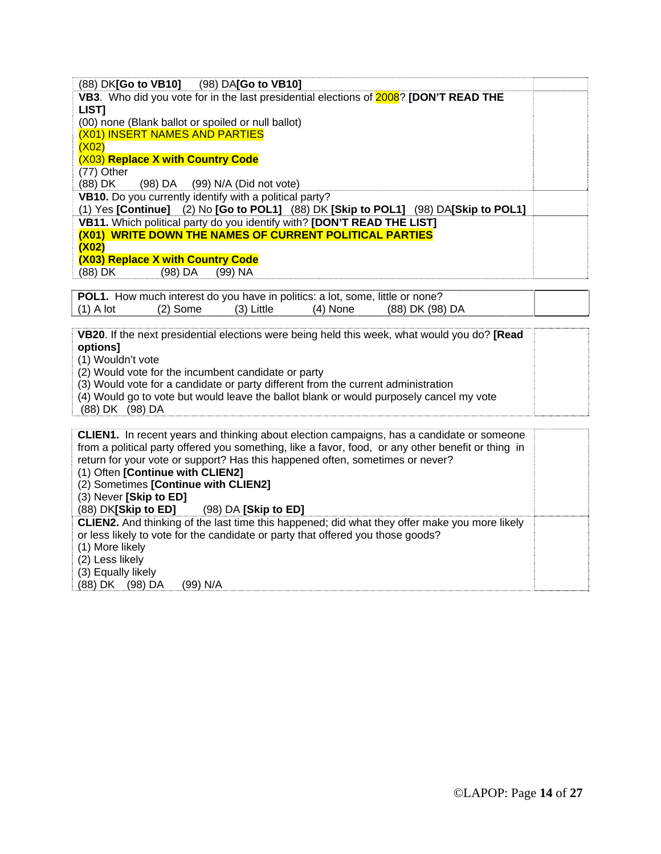| (88) DK[Go to VB10] (98) DA[Go to VB10]                                                                                                                   |  |
|-----------------------------------------------------------------------------------------------------------------------------------------------------------|--|
| VB3. Who did you vote for in the last presidential elections of 2008? [DON'T READ THE                                                                     |  |
| LIST]                                                                                                                                                     |  |
| (00) none (Blank ballot or spoiled or null ballot)                                                                                                        |  |
| (X01) INSERT NAMES AND PARTIES                                                                                                                            |  |
| (X02)                                                                                                                                                     |  |
| (X03) Replace X with Country Code                                                                                                                         |  |
| (77) Other                                                                                                                                                |  |
| (88) DK<br>$(98)$ DA<br>(99) N/A (Did not vote)                                                                                                           |  |
| VB10. Do you currently identify with a political party?                                                                                                   |  |
| (1) Yes [Continue] (2) No [Go to POL1] (88) DK [Skip to POL1] (98) DA[Skip to POL1]                                                                       |  |
| VB11. Which political party do you identify with? [DON'T READ THE LIST]                                                                                   |  |
| (X01) WRITE DOWN THE NAMES OF CURRENT POLITICAL PARTIES                                                                                                   |  |
| (X02)                                                                                                                                                     |  |
| (X03) Replace X with Country Code                                                                                                                         |  |
| (88) DK<br>$(99)$ NA<br>$(98)$ DA                                                                                                                         |  |
|                                                                                                                                                           |  |
| POL1. How much interest do you have in politics: a lot, some, little or none?<br>$(2)$ Some<br>$(1)$ A lot<br>(3) Little<br>$(4)$ None<br>(88) DK (98) DA |  |
|                                                                                                                                                           |  |
| VB20. If the next presidential elections were being held this week, what would you do? [Read                                                              |  |
| options]                                                                                                                                                  |  |
| (1) Wouldn't vote                                                                                                                                         |  |
| (2) Would vote for the incumbent candidate or party                                                                                                       |  |
| (3) Would vote for a candidate or party different from the current administration                                                                         |  |
| (4) Would go to vote but would leave the ballot blank or would purposely cancel my vote                                                                   |  |
| (88) DK (98) DA                                                                                                                                           |  |
|                                                                                                                                                           |  |
| CLIEN1. In recent years and thinking about election campaigns, has a candidate or someone                                                                 |  |
| from a political party offered you something, like a favor, food, or any other benefit or thing in                                                        |  |
| return for your vote or support? Has this happened often, sometimes or never?                                                                             |  |
| (1) Often [Continue with CLIEN2]                                                                                                                          |  |
| (2) Sometimes [Continue with CLIEN2]                                                                                                                      |  |
| (3) Never [Skip to ED]                                                                                                                                    |  |
| (88) DK[Skip to ED]<br>(98) DA [Skip to ED]                                                                                                               |  |
| CLIEN2. And thinking of the last time this happened; did what they offer make you more likely                                                             |  |
| or less likely to vote for the candidate or party that offered you those goods?                                                                           |  |
| (1) More likely                                                                                                                                           |  |
| (2) Less likely                                                                                                                                           |  |
| (3) Equally likely                                                                                                                                        |  |
| (88) DK (98) DA<br>(99) N/A                                                                                                                               |  |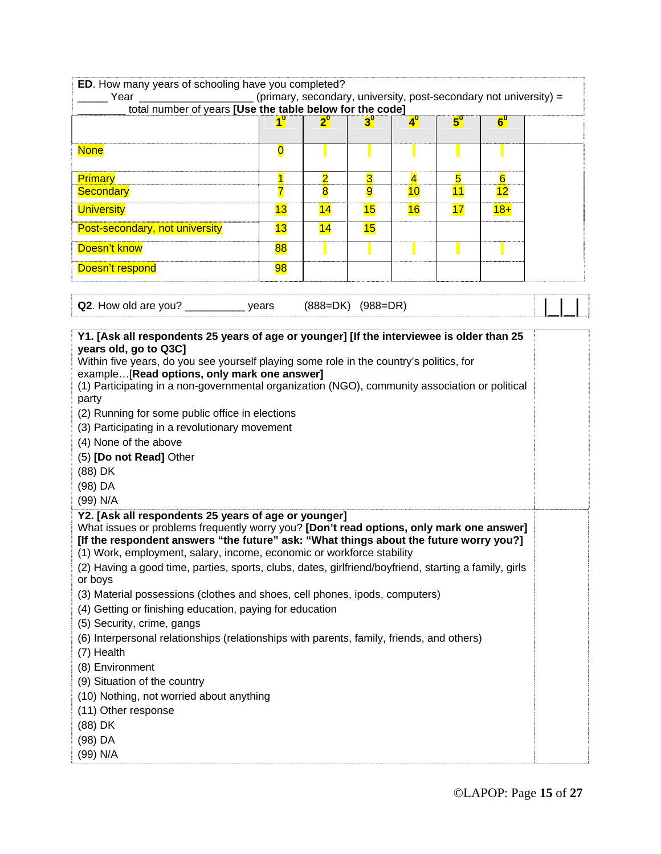| ED. How many years of schooling have you completed?                                                              |                         |                         |                         |                         |             |                                                                   |  |
|------------------------------------------------------------------------------------------------------------------|-------------------------|-------------------------|-------------------------|-------------------------|-------------|-------------------------------------------------------------------|--|
| Year<br>total number of years [Use the table below for the code]                                                 |                         |                         |                         |                         |             | (primary, secondary, university, post-secondary not university) = |  |
|                                                                                                                  | 1 <sup>0</sup>          | $2^{\circ}$             |                         | $4^{\circ}$             | $5^{\circ}$ | $6^{\circ}$                                                       |  |
|                                                                                                                  |                         |                         |                         |                         |             |                                                                   |  |
| <b>None</b>                                                                                                      | $\overline{\mathbf{0}}$ |                         |                         |                         |             |                                                                   |  |
|                                                                                                                  |                         |                         |                         |                         |             |                                                                   |  |
| <b>Primary</b>                                                                                                   | $\overline{\mathbf{1}}$ | $\overline{\mathbf{2}}$ | $\overline{\mathbf{3}}$ | $\overline{\mathbf{4}}$ | 5           | $6\overline{6}$                                                   |  |
| <b>Secondary</b>                                                                                                 | 7                       | $\overline{\mathbf{8}}$ | 9                       | 10                      | 11          | 12                                                                |  |
| <b>University</b>                                                                                                | 13                      | 14                      | 15                      | 16                      | 17          | $18 +$                                                            |  |
| Post-secondary, not university                                                                                   | 13                      | 14                      | 15                      |                         |             |                                                                   |  |
| Doesn't know                                                                                                     | 88                      |                         |                         |                         |             |                                                                   |  |
| Doesn't respond                                                                                                  | 98                      |                         |                         |                         |             |                                                                   |  |
|                                                                                                                  |                         |                         |                         |                         |             |                                                                   |  |
| Q2. How old are you? ______________ years                                                                        |                         |                         | $(888=DK)$ $(988=DR)$   |                         |             |                                                                   |  |
| Y1. [Ask all respondents 25 years of age or younger] [If the interviewee is older than 25                        |                         |                         |                         |                         |             |                                                                   |  |
| years old, go to Q3C]                                                                                            |                         |                         |                         |                         |             |                                                                   |  |
| Within five years, do you see yourself playing some role in the country's politics, for                          |                         |                         |                         |                         |             |                                                                   |  |
| example[Read options, only mark one answer]                                                                      |                         |                         |                         |                         |             |                                                                   |  |
| (1) Participating in a non-governmental organization (NGO), community association or political<br>party          |                         |                         |                         |                         |             |                                                                   |  |
| (2) Running for some public office in elections                                                                  |                         |                         |                         |                         |             |                                                                   |  |
| (3) Participating in a revolutionary movement                                                                    |                         |                         |                         |                         |             |                                                                   |  |
| (4) None of the above                                                                                            |                         |                         |                         |                         |             |                                                                   |  |
| (5) [Do not Read] Other                                                                                          |                         |                         |                         |                         |             |                                                                   |  |
| (88) DK                                                                                                          |                         |                         |                         |                         |             |                                                                   |  |
| (98) DA                                                                                                          |                         |                         |                         |                         |             |                                                                   |  |
| (99) N/A                                                                                                         |                         |                         |                         |                         |             |                                                                   |  |
| Y2. [Ask all respondents 25 years of age or younger]                                                             |                         |                         |                         |                         |             |                                                                   |  |
| What issues or problems frequently worry you? [Don't read options, only mark one answer]                         |                         |                         |                         |                         |             |                                                                   |  |
| [If the respondent answers "the future" ask: "What things about the future worry you?]                           |                         |                         |                         |                         |             |                                                                   |  |
| (1) Work, employment, salary, income, economic or workforce stability                                            |                         |                         |                         |                         |             |                                                                   |  |
| (2) Having a good time, parties, sports, clubs, dates, girlfriend/boyfriend, starting a family, girls<br>or boys |                         |                         |                         |                         |             |                                                                   |  |
| (3) Material possessions (clothes and shoes, cell phones, ipods, computers)                                      |                         |                         |                         |                         |             |                                                                   |  |
| (4) Getting or finishing education, paying for education                                                         |                         |                         |                         |                         |             |                                                                   |  |
| (5) Security, crime, gangs                                                                                       |                         |                         |                         |                         |             |                                                                   |  |
| (6) Interpersonal relationships (relationships with parents, family, friends, and others)                        |                         |                         |                         |                         |             |                                                                   |  |
| (7) Health                                                                                                       |                         |                         |                         |                         |             |                                                                   |  |
| (8) Environment                                                                                                  |                         |                         |                         |                         |             |                                                                   |  |
| (9) Situation of the country                                                                                     |                         |                         |                         |                         |             |                                                                   |  |
| (10) Nothing, not worried about anything                                                                         |                         |                         |                         |                         |             |                                                                   |  |
| (11) Other response                                                                                              |                         |                         |                         |                         |             |                                                                   |  |
| (88) DK                                                                                                          |                         |                         |                         |                         |             |                                                                   |  |
| (98) DA                                                                                                          |                         |                         |                         |                         |             |                                                                   |  |
| (99) N/A                                                                                                         |                         |                         |                         |                         |             |                                                                   |  |
|                                                                                                                  |                         |                         |                         |                         |             |                                                                   |  |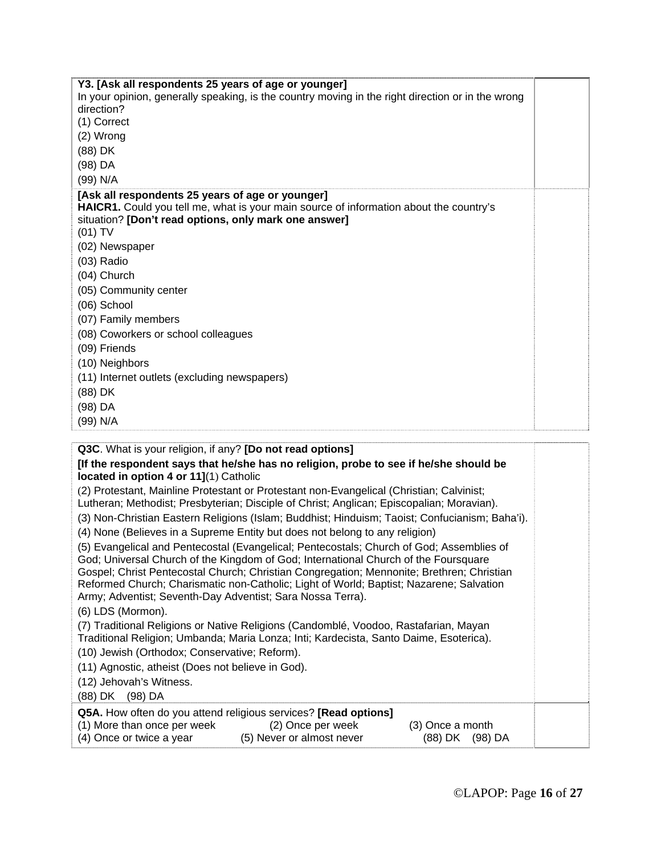| Y3. [Ask all respondents 25 years of age or younger]                                                                                                                                                |  |
|-----------------------------------------------------------------------------------------------------------------------------------------------------------------------------------------------------|--|
| In your opinion, generally speaking, is the country moving in the right direction or in the wrong                                                                                                   |  |
| direction?                                                                                                                                                                                          |  |
| (1) Correct                                                                                                                                                                                         |  |
| (2) Wrong                                                                                                                                                                                           |  |
| (88) DK                                                                                                                                                                                             |  |
| (98) DA                                                                                                                                                                                             |  |
| (99) N/A                                                                                                                                                                                            |  |
| [Ask all respondents 25 years of age or younger]<br>HAICR1. Could you tell me, what is your main source of information about the country's<br>situation? [Don't read options, only mark one answer] |  |
| (01) TV                                                                                                                                                                                             |  |
| (02) Newspaper                                                                                                                                                                                      |  |
| (03) Radio                                                                                                                                                                                          |  |
| (04) Church                                                                                                                                                                                         |  |
| (05) Community center                                                                                                                                                                               |  |
| (06) School                                                                                                                                                                                         |  |
| (07) Family members                                                                                                                                                                                 |  |
| (08) Coworkers or school colleagues                                                                                                                                                                 |  |
| (09) Friends                                                                                                                                                                                        |  |
| (10) Neighbors                                                                                                                                                                                      |  |
| (11) Internet outlets (excluding newspapers)                                                                                                                                                        |  |
| (88) DK                                                                                                                                                                                             |  |
| (98) DA                                                                                                                                                                                             |  |
| (99) N/A                                                                                                                                                                                            |  |
|                                                                                                                                                                                                     |  |
| Q3C. What is your religion, if any? [Do not read options]                                                                                                                                           |  |
| [If the respondent says that he/she has no religion, probe to see if he/she should be<br>located in option 4 or 11](1) Catholic                                                                     |  |
| (2) Protestant, Mainline Protestant or Protestant non-Evangelical (Christian; Calvinist;                                                                                                            |  |
| Lutheran; Methodist; Presbyterian; Disciple of Christ; Anglican; Episcopalian; Moravian).                                                                                                           |  |
| (3) Non-Christian Eastern Religions (Islam; Buddhist; Hinduism; Taoist; Confucianism; Baha'i).                                                                                                      |  |
| (4) None (Believes in a Supreme Entity but does not belong to any religion)                                                                                                                         |  |

(5) Evangelical and Pentecostal (Evangelical; Pentecostals; Church of God; Assemblies of God; Universal Church of the Kingdom of God; International Church of the Foursquare Gospel; Christ Pentecostal Church; Christian Congregation; Mennonite; Brethren; Christian Reformed Church; Charismatic non-Catholic; Light of World; Baptist; Nazarene; Salvation Army; Adventist; Seventh-Day Adventist; Sara Nossa Terra).

(6) LDS (Mormon).

(7) Traditional Religions or Native Religions (Candomblé, Voodoo, Rastafarian, Mayan Traditional Religion; Umbanda; Maria Lonza; Inti; Kardecista, Santo Daime, Esoterica).

(10) Jewish (Orthodox; Conservative; Reform).

(11) Agnostic, atheist (Does not believe in God).

(12) Jehovah's Witness.

(88) DK (98) DA

| <b>Q5A.</b> How often do you attend religious services? [Read options] |                                   |     |
|------------------------------------------------------------------------|-----------------------------------|-----|
| $(4)$ Marshan anno norwald                                             | $(0)$ $0 \times 22$ $0 \times 22$ | (0) |

| (1) More than once per week | (2) Once per week         | (3) Once a month |
|-----------------------------|---------------------------|------------------|
| (4) Once or twice a year    | (5) Never or almost never | (88) DK (98) DA  |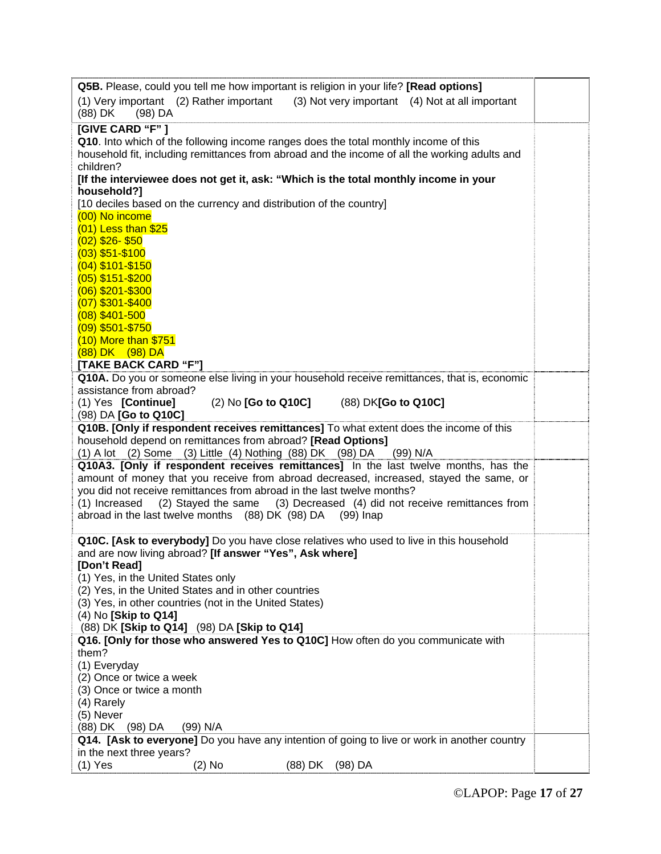| Q5B. Please, could you tell me how important is religion in your life? [Read options]                           |  |
|-----------------------------------------------------------------------------------------------------------------|--|
| (1) Very important (2) Rather important (3) Not very important (4) Not at all important<br>$(98)$ DA<br>(88) DK |  |
| [GIVE CARD "F"]                                                                                                 |  |
| Q10. Into which of the following income ranges does the total monthly income of this                            |  |
| household fit, including remittances from abroad and the income of all the working adults and                   |  |
| children?                                                                                                       |  |
| [If the interviewee does not get it, ask: "Which is the total monthly income in your                            |  |
| household?]                                                                                                     |  |
| [10 deciles based on the currency and distribution of the country]                                              |  |
| (00) No income                                                                                                  |  |
| $(01)$ Less than \$25<br>$(02)$ \$26-\$50                                                                       |  |
| $(03)$ \$51-\$100                                                                                               |  |
| $(04)$ \$101-\$150                                                                                              |  |
| $(05)$ \$151-\$200                                                                                              |  |
| (06) \$201-\$300                                                                                                |  |
| $(07)$ \$301-\$400                                                                                              |  |
| $(08)$ \$401-500                                                                                                |  |
| $(09)$ \$501-\$750                                                                                              |  |
| (10) More than \$751                                                                                            |  |
| (88) DK (98) DA                                                                                                 |  |
| [TAKE BACK CARD "F"]                                                                                            |  |
| Q10A. Do you or someone else living in your household receive remittances, that is, economic                    |  |
| assistance from abroad?                                                                                         |  |
| (1) Yes [Continue]<br>(2) No <b>[Go to Q10C]</b><br>(88) DK[Go to Q10C]                                         |  |
| (98) DA [Go to Q10C]<br>Q10B. [Only if respondent receives remittances] To what extent does the income of this  |  |
| household depend on remittances from abroad? [Read Options]                                                     |  |
| (1) A lot (2) Some (3) Little (4) Nothing (88) DK (98) DA<br>(99) N/A                                           |  |
| Q10A3. [Only if respondent receives remittances] In the last twelve months, has the                             |  |
| amount of money that you receive from abroad decreased, increased, stayed the same, or                          |  |
| you did not receive remittances from abroad in the last twelve months?                                          |  |
| (2) Stayed the same<br>(3) Decreased (4) did not receive remittances from<br>(1) Increased                      |  |
| abroad in the last twelve months (88) DK (98) DA (99) Inap                                                      |  |
|                                                                                                                 |  |
| Q10C. [Ask to everybody] Do you have close relatives who used to live in this household                         |  |
| and are now living abroad? [If answer "Yes", Ask where]                                                         |  |
| [Don't Read]                                                                                                    |  |
| (1) Yes, in the United States only<br>(2) Yes, in the United States and in other countries                      |  |
| (3) Yes, in other countries (not in the United States)                                                          |  |
| (4) No [Skip to Q14]                                                                                            |  |
| (88) DK [Skip to Q14] (98) DA [Skip to Q14]                                                                     |  |
| Q16. [Only for those who answered Yes to Q10C] How often do you communicate with                                |  |
| them?                                                                                                           |  |
| (1) Everyday                                                                                                    |  |
| (2) Once or twice a week                                                                                        |  |
|                                                                                                                 |  |
| (3) Once or twice a month                                                                                       |  |
| (4) Rarely                                                                                                      |  |
| (5) Never                                                                                                       |  |
| (88) DK (98) DA<br>(99) N/A                                                                                     |  |
| Q14. [Ask to everyone] Do you have any intention of going to live or work in another country                    |  |
| in the next three years?<br>$(1)$ Yes<br>$(2)$ No<br>(88) DK<br>$(98)$ DA                                       |  |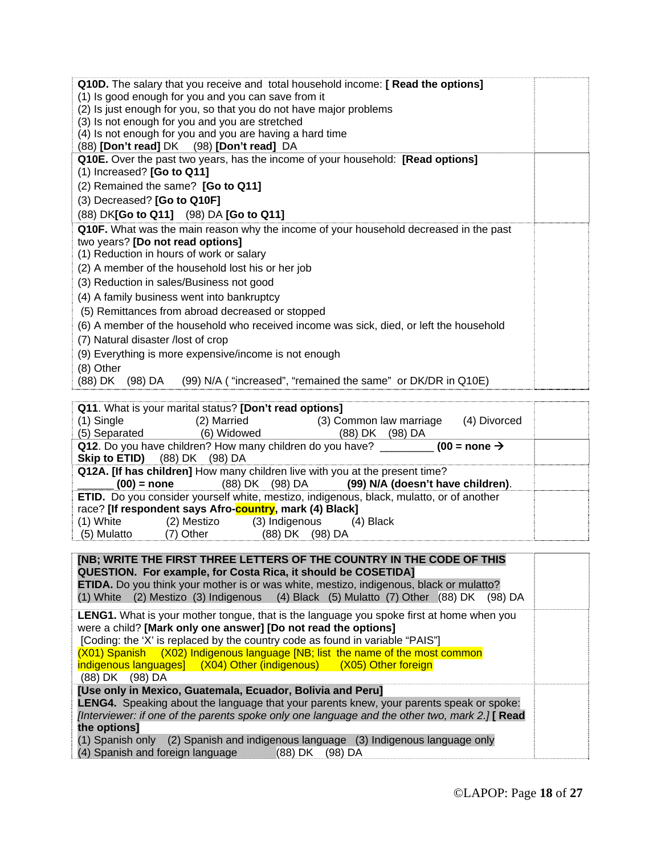| Q10D. The salary that you receive and total household income: [ Read the options]                |  |
|--------------------------------------------------------------------------------------------------|--|
| (1) Is good enough for you and you can save from it                                              |  |
| (2) Is just enough for you, so that you do not have major problems                               |  |
| (3) Is not enough for you and you are stretched                                                  |  |
| (4) Is not enough for you and you are having a hard time                                         |  |
| (88) [Don't read] DK (98) [Don't read] DA                                                        |  |
| Q10E. Over the past two years, has the income of your household: [Read options]                  |  |
| (1) Increased? [Go to Q11]                                                                       |  |
| (2) Remained the same? [Go to Q11]                                                               |  |
| (3) Decreased? [Go to Q10F]                                                                      |  |
| (88) DK[Go to Q11] (98) DA [Go to Q11]                                                           |  |
| Q10F. What was the main reason why the income of your household decreased in the past            |  |
| two years? [Do not read options]                                                                 |  |
| (1) Reduction in hours of work or salary                                                         |  |
| (2) A member of the household lost his or her job                                                |  |
| (3) Reduction in sales/Business not good                                                         |  |
| (4) A family business went into bankruptcy                                                       |  |
| (5) Remittances from abroad decreased or stopped                                                 |  |
| (6) A member of the household who received income was sick, died, or left the household          |  |
| (7) Natural disaster /lost of crop                                                               |  |
| (9) Everything is more expensive/income is not enough                                            |  |
| (8) Other                                                                                        |  |
| (99) N/A ("increased", "remained the same" or DK/DR in Q10E)<br>(88) DK (98) DA                  |  |
|                                                                                                  |  |
| Q11. What is your marital status? [Don't read options]                                           |  |
| (1) Single<br>(2) Married<br>(3) Common law marriage<br>(4) Divorced                             |  |
| (6) Widowed<br>(5) Separated<br>(88) DK (98) DA                                                  |  |
| Q12. Do you have children? How many children do you have? $\frac{1}{2}$ (00 = none $\rightarrow$ |  |
| Skip to ETID)<br>(88) DK (98) DA                                                                 |  |
| Q12A. [If has children] How many children live with you at the present time?                     |  |
| $(00)$ = none<br>(88) DK<br>(98) DA<br>(99) N/A (doesn't have children).                         |  |
| ETID. Do you consider yourself white, mestizo, indigenous, black, mulatto, or of another         |  |
| race? [If respondent says Afro-country, mark (4) Black]                                          |  |
| $(1)$ White<br>(2) Mestizo<br>(3) Indigenous<br>$(4)$ Black                                      |  |
| (5) Mulatto<br>(7) Other<br>(88) DK (98) DA                                                      |  |

| <b>INB: WRITE THE FIRST THREE LETTERS OF THE COUNTRY IN THE CODE OF THIS</b><br>QUESTION. For example, for Costa Rica, it should be COSETIDA]<br><b>ETIDA.</b> Do you think your mother is or was white, mestizo, indigenous, black or mulatto?<br>(1) White (2) Mestizo (3) Indigenous (4) Black (5) Mulatto (7) Other (88) DK (98) DA                                                                                       |  |
|-------------------------------------------------------------------------------------------------------------------------------------------------------------------------------------------------------------------------------------------------------------------------------------------------------------------------------------------------------------------------------------------------------------------------------|--|
| <b>LENG1.</b> What is your mother tongue, that is the language you spoke first at home when you<br>were a child? [Mark only one answer] [Do not read the options]<br>[Coding: the 'X' is replaced by the country code as found in variable "PAIS"]<br>(X01) Spanish (X02) Indigenous language [NB; list the name of the most common<br>indigenous languages] (X04) Other (indigenous) (X05) Other foreign<br>(88) DK (98) DA  |  |
| [Use only in Mexico, Guatemala, Ecuador, Bolivia and Peru]<br><b>LENG4.</b> Speaking about the language that your parents knew, your parents speak or spoke:<br>[Interviewer: if one of the parents spoke only one language and the other two, mark 2.] [ Read<br>the options]<br>(1) Spanish only (2) Spanish and indigenous language (3) Indigenous language only<br>(4) Spanish and foreign language<br>(88) DK<br>(98) DA |  |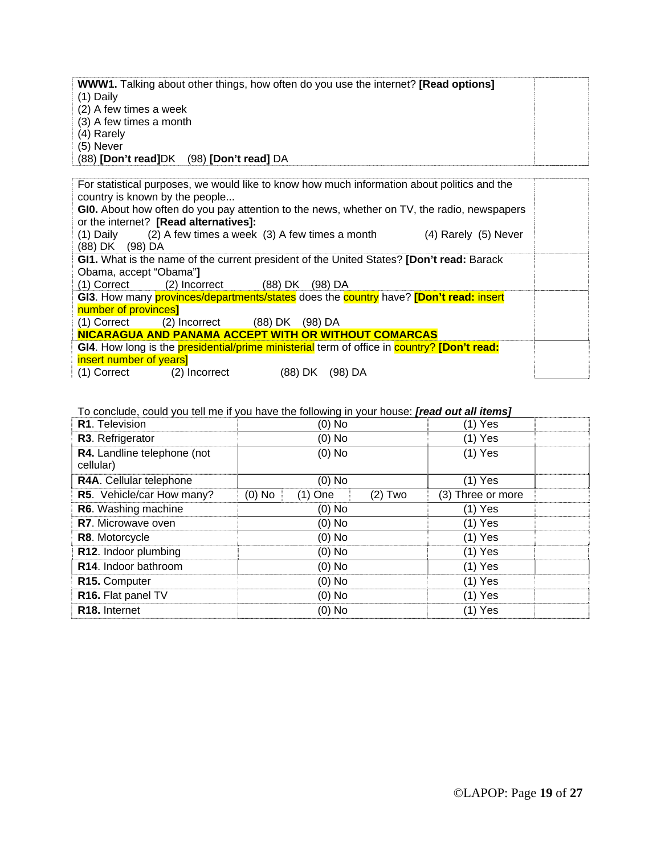| <b>WWW1.</b> Talking about other things, how often do you use the internet? <b>[Read options]</b> |  |
|---------------------------------------------------------------------------------------------------|--|
| $(1)$ Daily                                                                                       |  |
| (2) A few times a week                                                                            |  |
| (3) A few times a month                                                                           |  |
| (4) Rarely                                                                                        |  |
| (5) Never                                                                                         |  |
| (88) [Don't read]DK (98) [Don't read] DA                                                          |  |

| For statistical purposes, we would like to know how much information about politics and the |  |
|---------------------------------------------------------------------------------------------|--|
| country is known by the people                                                              |  |
| GIO. About how often do you pay attention to the news, whether on TV, the radio, newspapers |  |
| or the internet? [Read alternatives]:                                                       |  |
| $(1)$ Daily $(2)$ A few times a week $(3)$ A few times a month<br>(4) Rarely (5) Never      |  |
| (88) DK (98) DA                                                                             |  |
| GI1. What is the name of the current president of the United States? [Don't read: Barack    |  |
| Obama, accept "Obama"]                                                                      |  |
| $(1)$ Correct $(2)$ Incorrect $(88)$ DK $(98)$ DA                                           |  |
| GI3. How many provinces/departments/states does the country have? [Don't read: insert       |  |
| number of provinces]                                                                        |  |
| (88) DK (98) DA<br>(1) Correct<br>(2) Incorrect                                             |  |
| NICARAGUA AND PANAMA ACCEPT WITH OR WITHOUT COMARCAS                                        |  |
| GI4. How long is the presidential/prime ministerial term of office in country? [Don't read: |  |
| insert number of years]                                                                     |  |
| (1) Correct<br>(88) DK<br>$(98)$ DA<br>(2) Incorrect                                        |  |

#### To conclude, could you tell me if you have the following in your house: *[read out all items]*

| R1. Television                    | $(0)$ No |           | $(1)$ Yes |                   |  |
|-----------------------------------|----------|-----------|-----------|-------------------|--|
| R3. Refrigerator                  |          | $(0)$ No  |           | $(1)$ Yes         |  |
| R4. Landline telephone (not       | $(0)$ No |           | $(1)$ Yes |                   |  |
| cellular)                         |          |           |           |                   |  |
| R4A. Cellular telephone           |          | (0) No    |           | $(1)$ Yes         |  |
| R5. Vehicle/car How many?         | $(0)$ No | $(1)$ One | $(2)$ Two | (3) Three or more |  |
| R6. Washing machine               | $(0)$ No |           | $(1)$ Yes |                   |  |
| <b>R7.</b> Microwave oven         | $(0)$ No |           | $(1)$ Yes |                   |  |
| R8. Motorcycle                    | $(0)$ No |           | $(1)$ Yes |                   |  |
| R12. Indoor plumbing              | $(0)$ No |           | $(1)$ Yes |                   |  |
| R <sub>14</sub> . Indoor bathroom | $(0)$ No |           | $(1)$ Yes |                   |  |
| R <sub>15</sub> . Computer        | $(0)$ No |           | $(1)$ Yes |                   |  |
| R16. Flat panel TV                | $(0)$ No |           | $(1)$ Yes |                   |  |
| R <sub>18</sub> . Internet        |          | $(0)$ No  |           | $(1)$ Yes         |  |
|                                   |          |           |           |                   |  |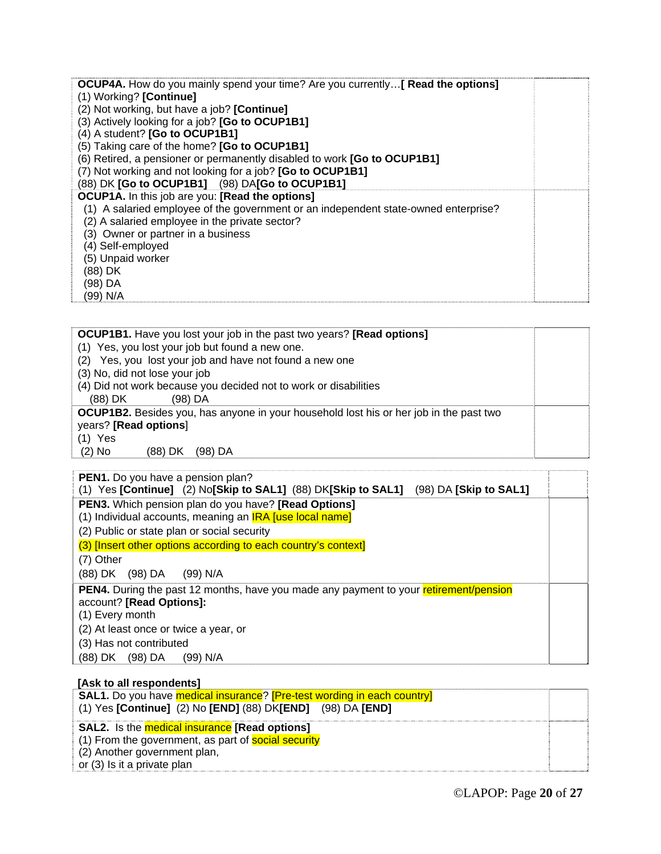| <b>OCUP4A.</b> How do you mainly spend your time? Are you currently [ <b>Read the options</b> ] |  |
|-------------------------------------------------------------------------------------------------|--|
| (1) Working? [Continue]                                                                         |  |
| (2) Not working, but have a job? [Continue]                                                     |  |
| (3) Actively looking for a job? [Go to OCUP1B1]                                                 |  |
| (4) A student? [Go to OCUP1B1]                                                                  |  |
| (5) Taking care of the home? [Go to OCUP1B1]                                                    |  |
| (6) Retired, a pensioner or permanently disabled to work [Go to OCUP1B1]                        |  |
| (7) Not working and not looking for a job? [Go to OCUP1B1]                                      |  |
| (88) DK [Go to OCUP1B1] (98) DA[Go to OCUP1B1]                                                  |  |
| <b>OCUP1A.</b> In this job are you: [Read the options]                                          |  |
| (1) A salaried employee of the government or an independent state-owned enterprise?             |  |
| (2) A salaried employee in the private sector?                                                  |  |
| (3) Owner or partner in a business                                                              |  |
| (4) Self-employed                                                                               |  |
| (5) Unpaid worker                                                                               |  |
| (88) DK                                                                                         |  |
| (98) DA                                                                                         |  |
| (99) N/A                                                                                        |  |

| <b>OCUP1B1.</b> Have you lost your job in the past two years? [Read options]                  |  |
|-----------------------------------------------------------------------------------------------|--|
| (1) Yes, you lost your job but found a new one.                                               |  |
| (2) Yes, you lost your job and have not found a new one                                       |  |
| (3) No, did not lose your job                                                                 |  |
| (4) Did not work because you decided not to work or disabilities                              |  |
| (88) DK<br>(98) DA                                                                            |  |
| <b>OCUP1B2.</b> Besides you, has anyone in your household lost his or her job in the past two |  |
| years? [Read options]                                                                         |  |
| $(1)$ Yes                                                                                     |  |
| $(2)$ No<br>(88) DK<br>(98) DA                                                                |  |

| PEN1. Do you have a pension plan?                                                                                                    |  |
|--------------------------------------------------------------------------------------------------------------------------------------|--|
| (1) Yes [Continue] (2) No[Skip to SAL1] (88) DK[Skip to SAL1] (98) DA [Skip to SAL1]                                                 |  |
| PEN3. Which pension plan do you have? [Read Options]                                                                                 |  |
| (1) Individual accounts, meaning an <b>IRA Juse local name</b>                                                                       |  |
| (2) Public or state plan or social security                                                                                          |  |
| (3) [Insert other options according to each country's context]                                                                       |  |
| (7) Other                                                                                                                            |  |
| (88) DK (98) DA<br>(99) N/A                                                                                                          |  |
| PEN4. During the past 12 months, have you made any payment to your retirement/pension<br>account? [Read Options]:<br>(1) Every month |  |
| (2) At least once or twice a year, or                                                                                                |  |
| (3) Has not contributed                                                                                                              |  |
| (98) DA<br>(88) DK<br>(99) N/A                                                                                                       |  |

| [Ask to all respondents]                                                                                                                     |  |
|----------------------------------------------------------------------------------------------------------------------------------------------|--|
| <b>SAL1.</b> Do you have medical insurance? [Pre-test wording in each country]<br>(1) Yes [Continue] (2) No [END] (88) DK[END] (98) DA [END] |  |
|                                                                                                                                              |  |
| <b>SAL2.</b> Is the medical insurance [Read options]                                                                                         |  |
| (1) From the government, as part of social security                                                                                          |  |
| (2) Another government plan,                                                                                                                 |  |
| or (3) Is it a private plan                                                                                                                  |  |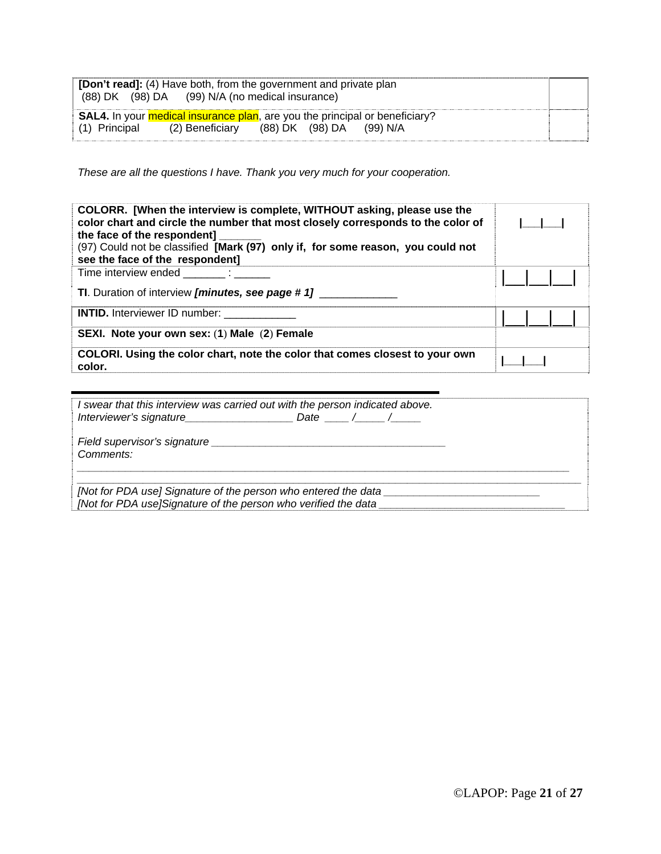| <b>[Don't read]:</b> (4) Have both, from the government and private plan<br>(88) DK (98) DA (99) N/A (no medical insurance)                            |  |
|--------------------------------------------------------------------------------------------------------------------------------------------------------|--|
| <b>SAL4.</b> In your medical insurance plan, are you the principal or beneficiary?<br>$(1)$ Principal $(2)$ Beneficiary $(88)$ DK $(98)$ DA $(99)$ N/A |  |

*These are all the questions I have. Thank you very much for your cooperation.* 

| COLORR. [When the interview is complete, WITHOUT asking, please use the<br>color chart and circle the number that most closely corresponds to the color of<br>the face of the respondent]<br>(97) Could not be classified [Mark (97) only if, for some reason, you could not<br>see the face of the respondent] |  |
|-----------------------------------------------------------------------------------------------------------------------------------------------------------------------------------------------------------------------------------------------------------------------------------------------------------------|--|
| Time interview ended in the state of the state of the state of the state of the state of the state of the stat<br><b>TI.</b> Duration of interview <i>[minutes, see page # 1]</i>                                                                                                                               |  |
| <b>INTID.</b> Interviewer ID number:                                                                                                                                                                                                                                                                            |  |
| SEXI. Note your own sex: (1) Male (2) Female                                                                                                                                                                                                                                                                    |  |
| COLORI. Using the color chart, note the color that comes closest to your own<br>color.                                                                                                                                                                                                                          |  |

| I swear that this interview was carried out with the person indicated above.  |          |
|-------------------------------------------------------------------------------|----------|
|                                                                               | Date / / |
| Field supervisor's signature <b>Field</b> supervisor's signature<br>Comments: |          |
| [Not for PDA use] Signature of the person who entered the data                |          |
| [Not for PDA use]Signature of the person who verified the data                |          |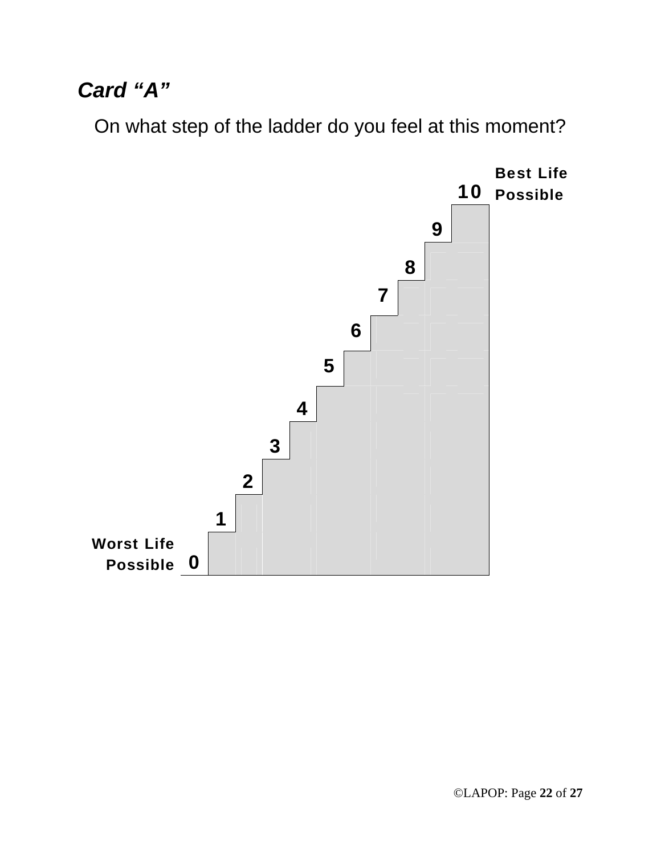## *Card "A"*

On what step of the ladder do you feel at this moment?

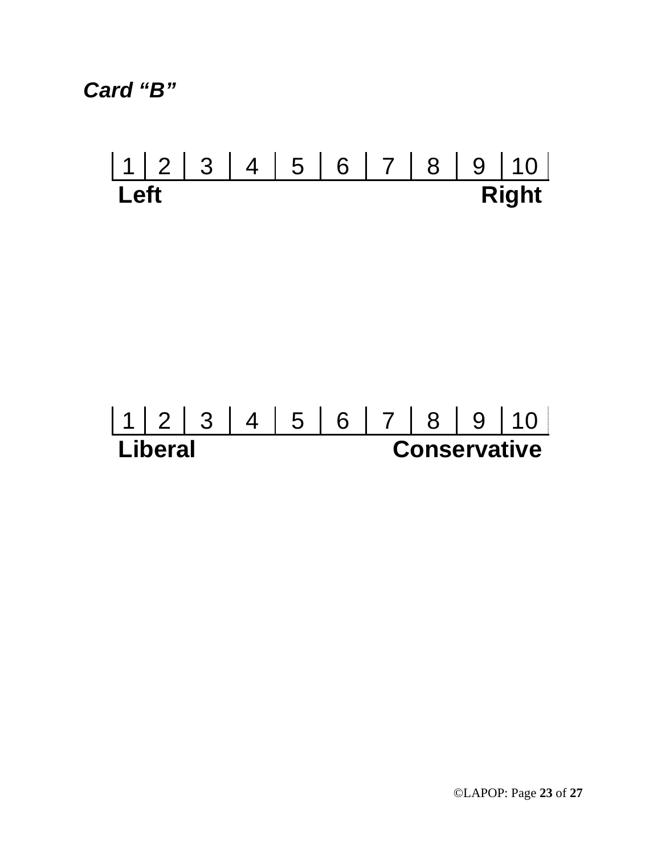*Card "B"* 

# 1 2 3 4 5 6 7 8 9 10 **Left** Right

# 1 2 3 4 5 6 7 8 9 10<br> **Liberal Conservative Conservative**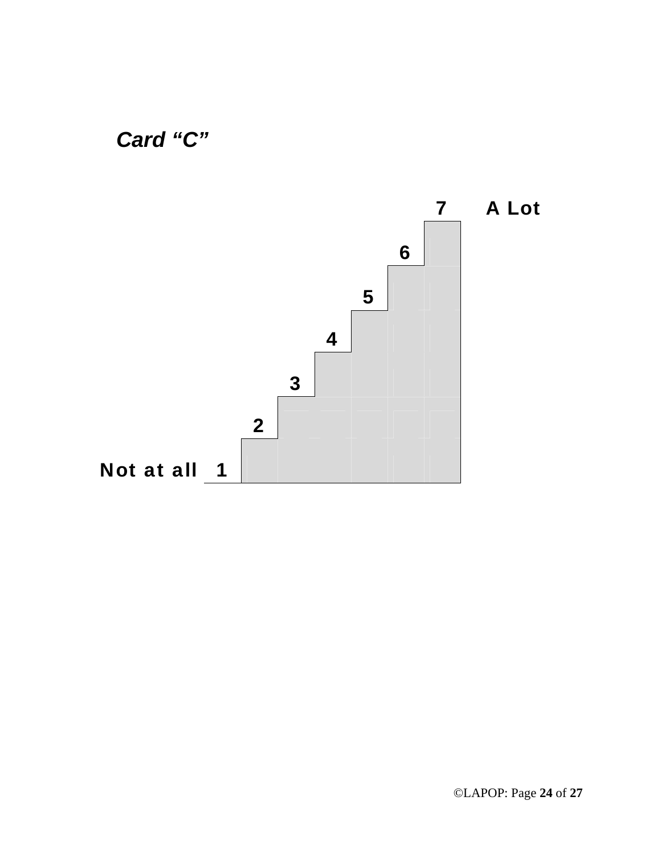



©LAPOP: Page **24** of **27**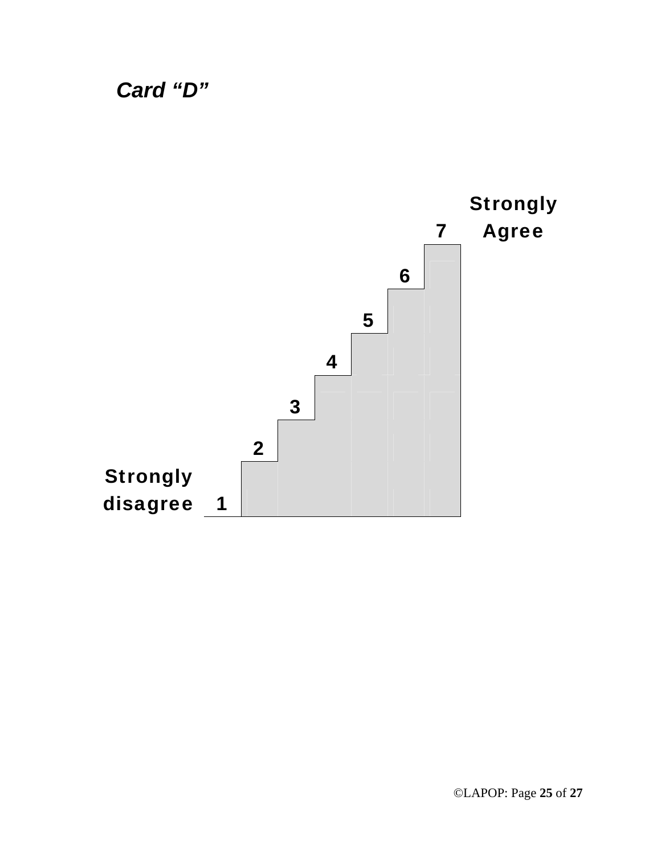*Card "D"* 

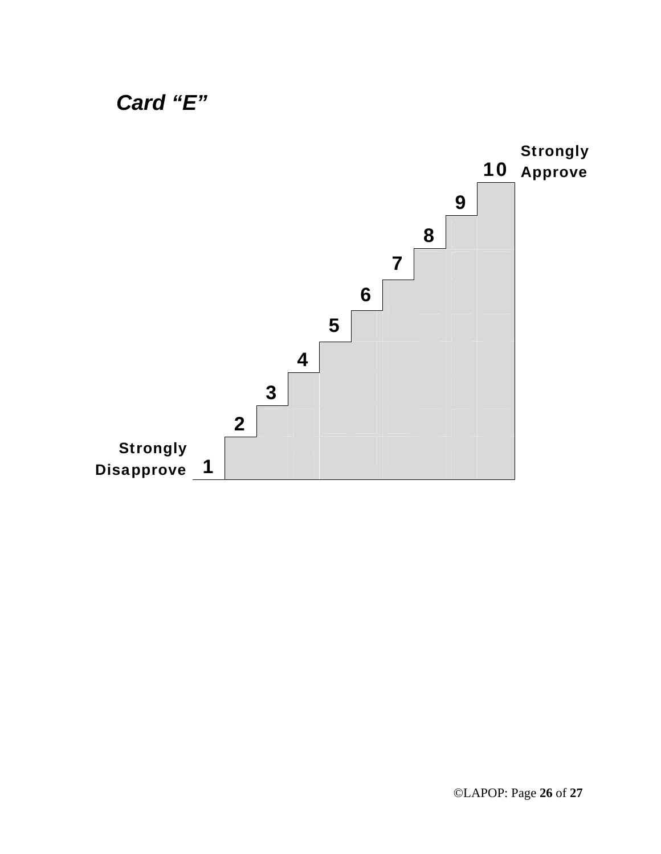

### ©LAPOP: Page **26** of **27**